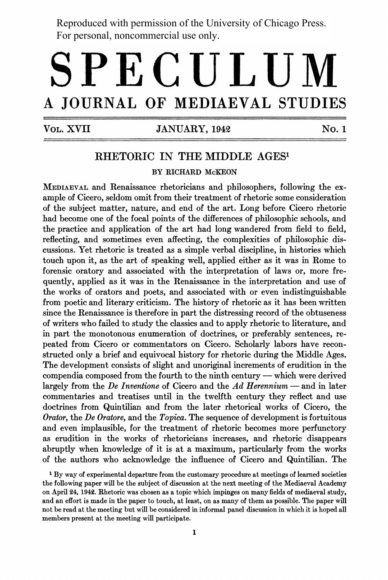Reproduced with permission of the University of Chicago Press. For personal, noncommercial use only.

# **SPECULUM A JOURNAL OF MEDIAEVAL STUDIES**

# **VOL. XVII JANUARY, 1942 No. 1**

## **RHETORIC IN THE MIDDLE AGES1**

## **BY RICHARD McKEON**

**MEDIAEVAL and Renaissance rhetoricians and philosophers, following the example of Cicero, seldom omit from their treatment of rhetoric some consideration of the subject matter, nature, and end of the art. Long before Cicero rhetoric had become one of the focal points of the differences of philosophic schools, and the practice and application of the art had long wandered from field to field, reflecting, and sometimes even affecting, the complexities of philosophic discussions. Yet rhetoric is treated as a simple verbal discipline, in histories which touch upon it, as the art of speaking well, applied either as it was in Rome to forensic oratory and associated with the interpretation of laws or, more frequently, applied as it was in the Renaissance in the interpretation and use of the works of orators and poets, and associated with or even indistinguishable from poetic and literary criticism. The history of rhetoric as it has been written since the Renaissance is therefore in part the distressing record of the obtuseness of writers who failed to study the classics and to apply rhetoric to literature, and in part the monotonous enumeration of doctrines, or preferably sentences, repeated from Cicero or commentators on Cicero. Scholarly labors have reconstructed only a brief and equivocal history for rhetoric during the Middle Ages. The development consists of slight and unoriginal increments of erudition in the compendia composed from the fourth to the ninth century - which were derived**  largely from the *De Inventione* of Cicero and the *Ad Herennium* — and in later **commentaries and treatises until in the twelfth century they reflect and use doctrines from Quintilian and from the later rhetorical works of Cicero, the Orator, the De Oratore, and the Topica. The sequence of development is fortuitous and even implausible, for the treatment of rhetoric becomes more perfunctory as erudition in the works of rhetoricians increases, and rhetoric disappears abruptly when knowledge of it is at a maximum, particularly from the works of the authors who acknowledge the influence of Cicero and Quintilian. The** 

**<sup>1</sup> By way of experimental departure from the customary procedure at meetings of learned societies the following paper will be the subject of discussion at the next meeting of the Mediaeval Academy on April 24, 1942. Rhetoric was chosen as a topic which impinges on many fields of mediaeval study, and an effort is made in the paper to touch, at least, on as many of them as possible. The paper will not be read at the meeting but will be considered in informal panel discussion in which it is hoped all members present at the meeting will participate.**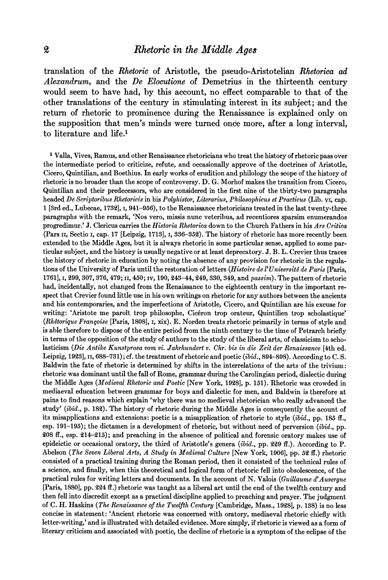**translation of the Rhetoric of Aristotle, the pseudo-Aristotelian Rhetorica ad Alexandrum, and the De Elocutione of Demetrius in the thirteenth century would seem to have had, by this account, no effect comparable to that of the other translations of the century in stimulating interest in its subject; and the return of rhetoric to prominence during the Renaissance is explained only on the supposition that men's minds were turned once more, after a long interval, to literature and life.'** 

**1 Valla, Vives, Ramus, and other Renaissance rhetoricians who treat the history of rhetoric pass over the intermediate period to criticize, refute, and occasionally approve of the doctrines of Aristotle, Cicero, Quintilian, and Boethius. In early works of erudition and philology the scope of the history of rhetoric is no broader than the scope of controversy. D. G. Morhof makes the transition from Cicero, Quintilian and their predecessors, who are considered in the first nine of the thirty-two paragraphs headed De Scriptoribus Rhetoricis in his Polyhistor, Literarius, Philosophicus et Practicus (Lib. vi, cap. 1 [3rd ed., Lubecae, 1732], I, 941-956), to the Renaissance rhetoricians treated in the last twenty-three paragraphs with the remark, 'Nos vero, missis nunc veteribus, ad recentiores sparsim enumerandos progredimur.' J. Clericus carries the Historia Rhetorica down to the Church Fathers in his Ars Critica (Pars II, Sectio I, cap. 17 [Leipzig, 1713], I, 336-352). The history of rhetoric has more recently been extended to the Middle Ages, but it is always rhetoric in some particular sense, applied to some particular subject, and the history is usually negative or at least deprecatory. J. B. L. Crevier thus traces the history of rhetoric in education by noting the absence of any provision for rhetoric in the regulations of the University of Paris until the restoration of letters (Histoire de l'Universite de Paris [Paris, 1761], I, 299, 307,376, 479; II, 450; iv, 190, 243-44, 249,330, 349, and passim). The pattern of rhetoric had, incidentally, not changed from the Renaissance to the eighteenth century in the important respect that Crevier found little use in his own writings on rhetoric for any authors between the ancients and his contemporaries, and the imperfections of Aristotle, Cicero, and Quintilian are his excuse for**  writing: 'Aristote me paroît trop philosophe, Cicéron trop orateur, Quintilien trop scholastique' **(Rhetorique Frangoise [Paris, 1808], I, xix). E. Norden treats rhetoric primarily in terms of style and is able therefore to dispose of the entire period from the ninth century to the time of Petrarch briefly in terms of the opposition of the study of authors to the study of the liberal arts, of classicism to scholasticism (Die Antike Kunstprosa vom vi. Jahrhundert v. Chr. bis in die Zeit der Renaissance [4th ed. Leipzig, 1923], II, 688-731); cf. the treatment of rhetoric and poetic (ibid., 894-898). According to C. S. Baldwin the fate of rhetoric is determined by shifts in the interrelations of the arts of the trivium: rhetoric was dominant until the fall of Rome, grammar during the Carolingian period, dialectic during the Middle Ages (Medieval Rhetoric and Poetic [New York, 1928], p. 151). Rhetoric was crowded in mediaeval education between grammar for boys and dialectic for men, and Baldwin is therefore at pains to find reasons which explain 'why there was no medieval rhetorician who really advanced the study' (ibid., p. 182). The history of rhetoric during the Middle Ages is consequently the acount of its misapplications and extensions: poetic is a misapplication of rhetoric to style (ibid., pp. 185 ff.,**  esp. 191-195); the dictamen is a development of rhetoric, but without need of perversion *(ibid., pp.* **208 ff., esp. 214-215); and preaching in the absence of political and forensic oratory makes use of epideictic or occasional oratory, the third of Aristotle's genera (ibid., pp. 229 ff.). According to P. Abelson (The Seven Liberal Arts, A Study in Medieval Culture [New York, 1906], pp. 5Q ff.) rhetoric consisted of a practical training during the Roman period, then it consisted of the technical rules of a science, and finally, when this theoretical and logical form of rhetoric fell into obsolescence, of the practical rules for writing letters and documents. In the account of N. Valois (Guillaume d'Auvergne [Paris, 1880], pp. 224 ff.) rhetoric was taught as a liberal art until the end of the twelfth century and then fell into discredit except as a practical discipline applied to preaching and prayer. The judgment of C. H. Haskins (The Renaissance of the Twelfth Century [Cambridge, Mass., 1928], p. 138) is no less concise in statement: 'Ancient rhetoric was concerned with oratory, mediaeval rhetoric chiefly with letter-writing,' and is illustrated with detailed evidence. More simply, if rhetoric is viewed as a form of literary criticism and associated with poetic, the decline of rhetoric is a symptom of the eclipse of the**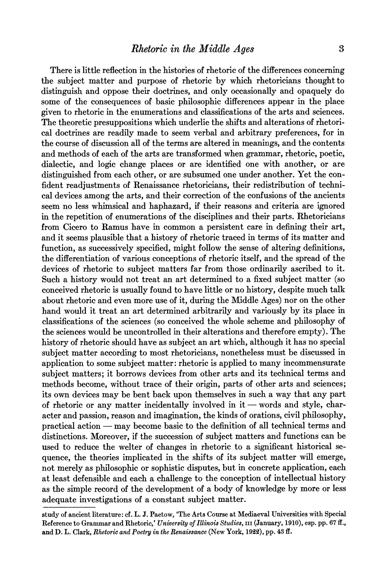**There is little reflection in the histories of rhetoric of the differences concerning the subject matter and purpose of rhetoric by which rhetoricians thought to distinguish and oppose their doctrines, and only occasionally and opaquely do some of the consequences of basic philosophic differences appear in the place given to rhetoric in the enumerations and classifications of the arts and sciences. The theoretic presuppositions which underlie the shifts and alterations of rhetorical doctrines are readily made to seem verbal and arbitrary preferences, for in the course of discussion all of the terms are altered in meanings, and the contents and methods of each of the arts are transformed when grammar, rhetoric, poetic, dialectic, and logic change places or are identified one with another, or are distinguished from each other, or are subsumed one under another. Yet the confident readjustments of Renaissance rhetoricians, their redistribution of technical devices among the arts, and their correction of the confusions of the ancients seem no less whimsical and haphazard, if their reasons and criteria are ignored in the repetition of enumerations of the disciplines and their parts. Rhetoricians from Cicero to Ramus have in common a persistent care in defining their art, and it seems plausible that a history of rhetoric traced in terms of its matter and function, as successively specified, might follow the sense of altering definitions, the differentiation of various conceptions of rhetoric itself, and the spread of the devices of rhetoric to subject matters far from those ordinarily ascribed to it. Such a history would not treat an art determined to a fixed subject matter (so conceived rhetoric is usually found to have little or no history, despite much talk about rhetoric and even more use of it, during the Middle Ages) nor on the other hand would it treat an art determined arbitrarily and variously by its place in classifications of the sciences (so conceived the whole scheme and philosophy of the sciences would be uncontrolled in their alterations and therefore empty). The history of rhetoric should have as subject an art which, although it has no special subject matter according to most rhetoricians, nonetheless must be discussed in application to some subject matter: rhetoric is applied to many incommensurate subject matters; it borrows devices from other arts and its technical terms and methods become, without trace of their origin, parts of other arts and sciences; its own devices may be bent back upon themselves in such a way that any part of rhetoric or any matter incidentally involved in it - words and style, character and passion, reason and imagination, the kinds of orations, civil philosophy, practical action - may become basic to the definition of all technical terms and distinctions. Moreover, if the succession of subject matters and functions can be used to reduce the welter of changes in rhetoric to a significant historical sequence, the theories implicated in the shifts of its subject matter will emerge, not merely as philosophic or sophistic disputes, but in concrete application, each at least defensible and each a challenge to the conception of intellectual history as the simple record of the development of a body of knowledge by more or less adequate investigations of a constant subject matter.** 

**study of ancient literature: cf. L. J. Paetow, 'The Arts Course at Mediaeval Universities with Special Reference to Grammar and Rhetoric,' University of Illinois Studies, 111 (January, 1910), esp. pp. 67 ff., and D. L. Clark, Rhetoric and Poetry in the Renaissance (New York, 1922), pp. 43 ff.**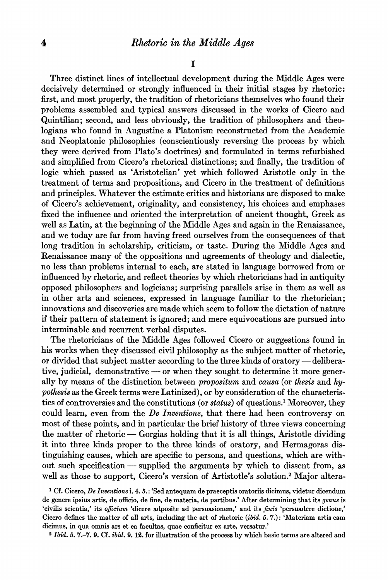**Three distinct lines of intellectual development during the Middle Ages were decisively determined or strongly influenced in their initial stages by rhetoric: first, and most properly, the tradition of rhetoricians themselves who found their problems assembled and typical answers discussed in the works of Cicero and Quintilian; second, and less obviously, the tradition of philosophers and theologians who found in Augustine a Platonism reconstructed from the Academic and Neoplatonic philosophies (conscientiously reversing the process by which they were derived from Plato's doctrines) and formulated in terms refurbished and simplified from Cicero's rhetorical distinctions; and finally, the tradition of logic which passed as 'Aristotelian' yet which followed Aristotle only in the treatment of terms and propositions, and Cicero in the treatment of definitions and principles. Whatever the estimate critics and historians are disposed to make of Cicero's achievement, originality, and consistency, his choices and emphases fixed the influence and oriented the interpretation of ancient thought, Greek as well as Latin, at the beginning of the Middle Ages and again in the Renaissance, and we today are far from having freed ourselves from the consequences of that long tradition in scholarship, criticism, or taste. During the Middle Ages and Renaissance many of the oppositions and agreements of theology and dialectic, no less than problems internal to each, are stated in language borrowed from or influenced by rhetoric, and reflect theories by which rhetoricians had in antiquity opposed philosophers and logicians; surprising parallels arise in them as well as in other arts and sciences, expressed in language familiar to the rhetorician; innovations and discoveries are made which seem to follow the dictation of nature if their pattern of statement is ignored; and mere equivocations are pursued into interminable and recurrent verbal disputes.** 

**The rhetoricians of the Middle Ages followed Cicero or suggestions found in his works when they discussed civil philosophy as the subject matter of rhetoric,**  or divided that subject matter according to the three kinds of oratory — deliberative, judicial, demonstrative — or when they sought to determine it more gener**ally by means of the distinction between propositum and causa (or thesis and hypothesis as the Greek terms were Latinized), or by consideration of the characteristics of controversies and the constitutions (or status) of questions.' Moreover, they could learn, even from the De Inventione, that there had been controversy on most of these points, and in particular the brief history of three views concerning the matter of rhetoric - Gorgias holding that it is all things, Aristotle dividing it into three kinds proper to the three kinds of oratory, and Hermagoras distinguishing causes, which are specific to persons, and questions, which are with**out such specification – supplied the arguments by which to dissent from, as **well as those to support, Cicero's version of Artistotle's solution.2 Major altera-**

**1 Cf. Cicero, De Inventione i. 4.5.: 'Sed antequam de praeceptis oratoriis dicimus, videtur dicendum de genere ipsius artis, de officio, de fine, de materia, de partibus.' After determining that its genus is 'civilis scientia,' its officium 'dicere adposite ad persuasionem,' and its finis 'persuadere dictione,' Cicero defines the matter of all arts, including the art of rhetoric (ibid. 5. 7.): 'Materiam artis eam dicimus, in qua omnis ars et ea facultas, quae conficitur ex arte, versatur.'** 

**2 Ibid. 5. 7.-7. 9. Cf. ibid. 9. 12. for illustration of the process by which basic terms are altered and**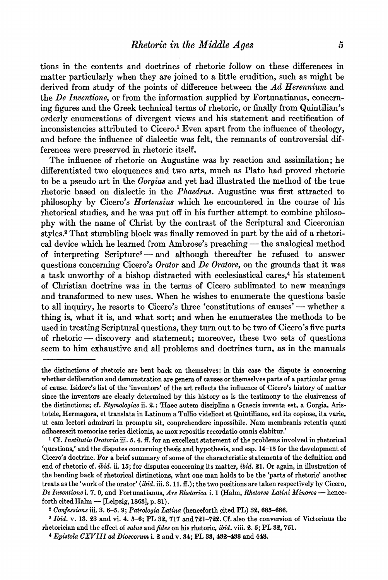**tions in the contents and doctrines of rhetoric follow on these differences in matter particularly when they are joined to a little erudition, such as might be derived from study of the points of difference between the Ad Herennium and the De Inventione, or from the information supplied by Fortunatianus, concerning figures and the Greek technical terms of rhetoric, or finally from Quintilian's orderly enumerations of divergent views and his statement and rectification of inconsistencies attributed to Cicero.1 Even apart from the influence of theology, and before the influence of dialectic was felt, the remnants of controversial differences were preserved in rhetoric itself.** 

**The influence of rhetoric on Augustine was by reaction and assimilation; he differentiated two eloquences and two arts, much as Plato had proved rhetoric to be a pseudo art in the Gorgias and yet had illustrated the method of the true rhetoric based on dialectic in the Phaedrus. Augustine was first attracted to philosophy by Cicero's Hortensius which he encountered in the course of his rhetorical studies, and he was put off in his further attempt to combine philosophy with the name of Christ by the contrast of the Scriptural and Ciceronian styles.2 That stumbling block was finally removed in part by the aid of a rhetori**cal device which he learned from Ambrose's preaching — the analogical method **of interpreting Scripture3 -and although thereafter he refused to answer questions concerning Cicero's Orator and De Oratore, on the grounds that it was a task unworthy of a bishop distracted with ecclesiastical cares,4 his statement of Christian doctrine was in the terms of Cicero sublimated to new meanings and transformed to new uses. When he wishes to enumerate the questions basic**  to all inquiry, he resorts to Cicero's three 'constitutions of causes' — whether a **thing is, what it is, and what sort; and when he enumerates the methods to be used in treating Scriptural questions, they turn out to be two of Cicero's five parts of rhetoric - discovery and statement; moreover, these two sets of questions seem to him exhaustive and all problems and doctrines turn, as in the manuals** 

**the distinctions of rhetoric are bent back on themselves: in this case the dispute is concerning whether deliberation and demonstration are genera of causes or themselves parts of a particular genus of cause. Isidore's list of the 'inventors' of the art reflects the influence of Cicero's history of matter since the inventors are clearly determined by this history as is the testimony to the elusiveness of the distinctions; cf. Etymologiae ii. B.: 'Haec autem disciplina a Graecis inventa est, a Gorgia, Aristotele, Hermagora, et translata in Latinum a Tullio videlicet et Quintiliano, sed ita copiose, ita varie, ut eam lectori admirari in promptu sit, conprehendere inpossibile. Nam membranis retentis quasi adhaerescit memoriae series dictionis, ac mox repositis recordatio omnis elabitur.'** 

**<sup>1</sup> Cf. Institutio Oratoria iii. 5. 4. ff. for an excellent statement of the problems involved in rhetorical 'questions,' and the disputes concerning thesis and hypothesis, and esp. 14-15 for the development of Cicero's doctrine. For a brief summary of some of the characteristic statements of the definition and end of rhetoric cf. ibid. ii. 15; for disputes concerning its matter, ibid. 21. Or again, in illustration of the bending back of rhetorical distinctions, what one man holds to be the 'parts of rhetoric' another treats as the 'work of the orator' (ibid. iii. 3. 11. ff.); the two positions are taken respectively by Cicero,**  De Inventione i. 7. 9, and Fortunatianus, Ars Rhetorica *i.* 1 (Halm, Rhetores Latini Minores — hence**forth cited Halm - [Leipzig, 1863], p. 81).** 

**<sup>2</sup>Confessions iii. 3. 6-5. 9; Patrologia Latina (henceforth cited PL) 32, 685-686.** 

**<sup>3</sup>Ibid. v. 13. 23 and vi. 4. 5-6; PL 32, 717 and 721-722. Cf. also the conversion of Victorinus the**  rhetorician and the effect of *salus* and *fides* on his rhetoric, *ibid.* viii. 2. 5; PL 32, 751.

**<sup>4</sup> Epistola CXVIII ad Dioscorum i. 2 and v. 34; PL 33, 432-433 and 448.**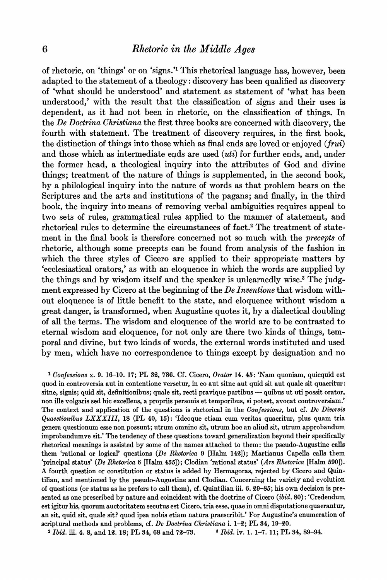**of rhetoric, on 'things' or on 'signs.'l This rhetorical language has, however, been adapted to the statement of a theology: discovery has been qualified as discovery of 'what should be understood' and statement as statement of 'what has been understood,' with the result that the classification of signs and their uses is dependent, as it had not been in rhetoric, on the classification of things. In the De Doctrina Christiana the first three books are concerned with discovery, the fourth with statement. The treatment of discovery requires, in the first book, the distinction of things into those which as final ends are loved or enjoyed (frui) and those which as intermediate ends are used (uti) for further ends, and, under the former head, a theological inquiry into the attributes of God and divine things; treatment of the nature of things is supplemented, in the second book, by a philological inquiry into the nature of words as that problem bears on the Scriptures and the arts and institutions of the pagans; and finally, in the third book, the inquiry into means of removing verbal ambiguities requires appeal to two sets of rules, grammatical rules applied to the manner of statement, and rhetorical rules to determine the circumstances of fact.2 The treatment of state**ment in the final book is therefore concerned not so much with the *precepts* of **rhetoric, although some precepts can be found from analysis of the fashion in which the three styles of Cicero are applied to their appropriate matters by 'ecclesiastical orators,' as with an eloquence in which the words are supplied by the things and by wisdom itself and the speaker is unlearnedly wise.3 The judgment expressed by Cicero at the beginning of the De Inventione that wisdom without eloquence is of little benefit to the state, and eloquence without wisdom a great danger, is transformed, when Augustine quotes it, by a dialectical doubling of all the terms. The wisdom and eloquence of the world are to be contrasted to eternal wisdom and eloquence, for not only are there two kinds of things, temporal and divine, but two kinds of words, the external words instituted and used by men, which have no correspondence to things except by designation and no** 

**1 Confessions x. 9. 16-10. 17; PL 32, 786. Cf. Cicero, Orator 14. 45: 'Nam quoniam, quicquid est quod in controversia aut in contentione versetur, in eo aut sitne aut quid sit aut quale sit quaeritur: sitne, signis; quid sit, definitionibus; quale sit, recti pravique partibus - quibus ut uti possit orator, non ille volgaris sed hic excellens, a propriis personis et temporibus, si potest, avocat controversiam.' The context and application of the questions is rhetorical in the Confessions, but cf. De Diversis Quaestionibus LXXXIII, 18 (PL 40, 15): 'Ideoque etiam cum veritas quaeritur, plus quam tria genera questionum esse non possunt; utrum omnino sit, utrum hoc an aliud sit, utrum approbandum improbandumve sit.' The tendency of these questions toward generalization beyond their specifically rhetorical meanings is assisted by some of the names attached to them: the pseudo-Augustine calls them 'rational or logical' questions (De Rhetorica 9 [Halm 142]); Martianus Capella calls them 'principal status' (De Rhetorica 6 [Halm 455]); Clodian 'rational status' (Ars Rhetorica [Halm 590]). A fourth question or constitution or status is added by Hermagoras, rejected by Cicero and Quintilian, and mentioned by the pseudo-Augustine and Clodian. Concerning the variety and evolution of questions (or status as he prefers to call them), cf. Quintilian iii. 6. 29-85; his own decision is presented as one prescribed by nature and coincident with the doctrine of Cicero (ibid. 80): 'Credendum est igitur his, quorum auctoritatem secutus est Cicero, tria esse, quae in omni disputatione quaerantur, an sit, quid sit, quale sit? quod ipsa nobis etiam natura praescribit.' For Augustine's enumeration of scriptural methods and problems, cf. De Doctrina Christiana i. 1-2; PL 34, 19-20.**<br><sup>2</sup> *Ibid.* iii. 4. 8, and 12. 18; PL 34, 68 and 72-73. <sup>3</sup> *Ibid.* iv. 1. 1-7. 11; PL 34, 89-94.

<sup>2</sup> *Ibid.* iii. 4. 8, and 12. 18; PL 34, 68 and 72-73.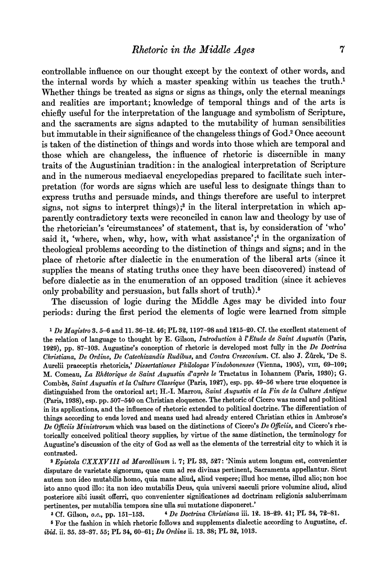**controllable influence on our thought except by the context of other words, and the internal words by which a master speaking within us teaches the truth.1 Whether things be treated as signs or signs as things, only the eternal meanings and realities are important; knowledge of temporal things and of the arts is chiefly useful for the interpretation of the language and symbolism of Scripture, and the sacraments are signs adapted to the mutability of human sensibilities but immutable in their significance of the changeless things of God.2 Once account is taken of the distinction of things and words into those which are temporal and those which are changeless, the influence of rhetoric is discernible in many traits of the Augustinian tradition: in the analogical interpretation of Scripture and in the numerous mediaeval encyclopedias prepared to facilitate such interpretation (for words are signs which are useful less to designate things than to express truths and persuade minds, and things therefore are useful to interpret**  signs, not signs to interpret things);<sup>3</sup> in the literal interpretation in which ap**parently contradictory texts were reconciled in canon law and theology by use of the rhetorician's 'circumstances' of statement, that is, by consideration of 'who'**  said it, 'where, when, why, how, with what assistance';<sup>4</sup> in the organization of **theological problems according to the distinction of things and signs; and in the place of rhetoric after dialectic in the enumeration of the liberal arts (since it supplies the means of stating truths once they have been discovered) instead of before dialectic as in the enumeration of an opposed tradition (since it achieves only probability and persuasion, but falls short of truth).5** 

**The discussion of logic during the Middle Ages may be divided into four periods: during the first period the elements of logic were learned from simple** 

**1 De Magistro 3. 5-6 and 11. 36-12. 46; PL 32, 1197-98 and 1215-20. Cf. the excellent statement of the relation of language to thought by E. Gilson, Introduction a l'Etude de Saint Augustin (Paris, 1929), pp. 87-103. Augustine's conception of rhetoric is developed most fully in the De Doctrina Christiana, De Ordine, De Catechizandis Rudibus, and Contra Cresconium. Cf. also J. Zurek, 'De S.**  Aurelii praeceptis rhetoricis,' Dissertationes Philologae Vindobonenses (Vienna, 1905), vIII, 69-109; **M. Comeau, La Rhétorique de Saint Augustin d'après le Tractatus in Iohannem (Paris, 1930); G. Combes, Saint Augustin et la Culture Classique (Paris, 1927), esp. pp. 49-56 where true eloquence is distinguished from the oratorical art; H.-I. Marrou, Saint Augustin et la Fin de la Culture Antique (Paris, 1938), esp. pp. 507-540 on Christian eloquence. The rhetoric of Cicero was moral and political in its applications, and the influence of rhetoric extended to political doctrine. The differentiation of things according to ends loved and means used had already entered Christian ethics in Ambrose's De Officiis Ministrorum which was based on the distinctions of Cicero's De Officiis, and Cicero's rhetorically conceived political theory supplies, by virtue of the same distinction, the terminology for Augustine's discussion of the city of God as well as the elements of the terrestrial city to which it is contrasted.** 

**<sup>2</sup>Epistola CXXXYIII ad Marcellinum i. 7; PL 33, 527: 'Nimis autem longum est, convenienter disputare de varietate signorum, quae cum ad res divinas pertinent, Sacramenta appellantur. Sicut autem non ideo mutabilis homo, quia mane aliud, aliud vespere; illud hoc mense, illud alio; non hoc isto anno quod illo: ita non ideo mutabilis Deus, quia universi saeculi priore volumine aliud, aliud posteriore sibi iussit offerri, quo convenienter significationes ad doctrinam religionis saluberrimam pertinentes, per mutabilia tempora sine ulla sui mutatione disponeret.'** 

**<sup>3</sup>Cf. Gilson, o.c., pp. 151-153. 4 De Doctrina Christiana iii. 12. 18-29. 41; PL 34, 72-81.** 

**5 For the fashion in which rhetoric follows and supplements dialectic according to Augustine, cf. ibid. ii. 35. 53-37. 55; PL 34, 60-61; De Ordine ii. 13. 38; PL 32, 1013.**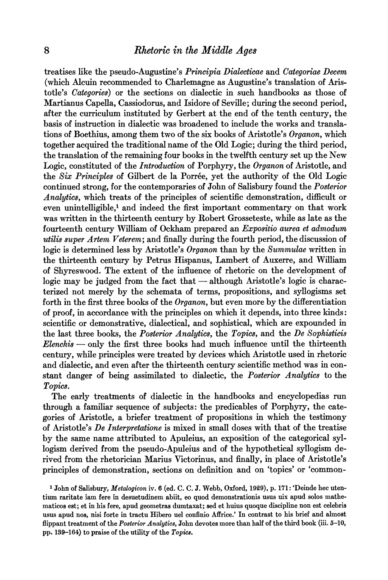**treatises like the pseudo-Augustine's Principia Dialecticae and Categoriae Decem (which Alcuin recommended to Charlemagne as Augustine's translation of Aristotle's Categories) or the sections on dialectic in such handbooks as those of Martianus Capella, Cassiodorus, and Isidore of Seville; during the second period, after the curriculum instituted by Gerbert at the end of the tenth century, the basis of instruction in dialectic was broadened to include the works and translations of Boethius, among them two of the six books of Aristotle's Organon, which together acquired the traditional name of the Old Logic; during the third period, the translation of the remaining four books in the twelfth century set up the New Logic, constituted of the Introduction of Porphyry, the Organon of Aristotle, and the Six Principles of Gilbert de la Porree, yet the authority of the Old Logic continued strong, for the contemporaries of John of Salisbury found the Posterior Analytics, which treats of the principles of scientific demonstration, difficult or even unintelligible,' and indeed the first important commentary on that work was written in the thirteenth century by Robert Grosseteste, while as late as the fourteenth century William of Ockham prepared an Expositio aurea et admodum utilis super Artem Veterem; and finally during the fourth period, the discussion of logic is determined less by Aristotle's Organon than by the Summulae written in the thirteenth century by Petrus Hispanus, Lambert of Auxerre, and William of Shyreswood. The extent of the influence of rhetoric on the development of**  logic may be judged from the fact that — although Aristotle's logic is charac**terized not merely by the schemata of terms, propositions, and syllogisms set forth in the first three books of the Organon, but even more by the differentiation of proof, in accordance with the principles on which it depends, into three kinds: scientific or demonstrative, dialectical, and sophistical, which are expounded in the last three books, the Posterior Analytics, the Topics, and the De Sophisticis Elenchis - only the first three books had much influence until the thirteenth century, while principles were treated by devices which Aristotle used in rhetoric and dialectic, and even after the thirteenth century scientific method was in constant danger of being assimilated to dialectic, the Posterior Analytics to the Topics.** 

**The early treatments of dialectic in the handbooks and encyclopedias run through a familiar sequence of subjects: the predicables of Porphyry, the categories of Aristotle, a briefer treatment of propositions in which the testimony of Aristotle's De Interpretatione is mixed in small doses with that of the treatise by the same name attributed to Apuleius, an exposition of the categorical syllogism derived from the pseudo-Apuleius and of the hypothetical syllogism derived from the rhetorician Marius Victorinus, and finally, in place of Aristotle's principles of demonstration, sections on definition and on 'topics' or 'common-**

**<sup>1</sup> John of Salisbury, Metalogicon iv. 6 (ed. C. C. J. Webb, Oxford, 1929), p. 171: 'Deinde hec utentium raritate iam fere in desuetudinem abiit, eo quod demonstrationis usus uix apud solos mathematicos est; et in his fere, apud geometras dumtaxat; sed et huius quoque discipline non est celebris usus apud nos, nisi forte in tractu Hibero uel confinio Affrice.' In contrast to his brief and almost flippant treatment of the Posterior Analytics, John devotes more than half of the third book (iii. 5-10, pp. 139-164) to praise of the utility of the Topics.**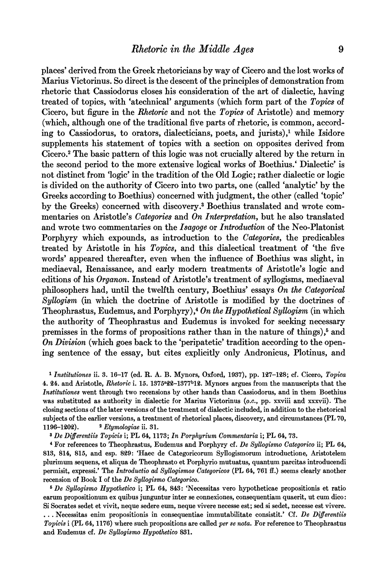**places' derived from the Greek rhetoricians by way of Cicero and the lost works of Marius Victorinus. So direct is the descent of the principles of demonstration from rhetoric that Cassiodorus closes his consideration of the art of dialectic, having treated of topics, with 'atechnical' arguments (which form part of the Topics of Cicero, but figure in the Rhetoric and not the Topics of Aristotle) and memory (which, although one of the traditional five parts of rhetoric, is common, according to Cassiodorus, to orators, dialecticians, poets, and jurists),' while Isidore supplements his statement of topics with a section on opposites derived from Cicero.2 The basic pattern of this logic was not crucially altered by the return in the second period to the more extensive logical works of Boethius.' Dialectic' is not distinct from 'logic' in the tradition of the Old Logic; rather dialectic or logic is divided on the authority of Cicero into two parts, one (called 'analytic' by the Greeks according to Boethius) concerned with judgment, the other (called 'topic' by the Greeks) concerned with discovery.3 Boethius translated and wrote commentaries on Aristotle's Categories and On Interpretation, but he also translated and wrote two commentaries on the Isagoge or Introduction of the Neo-Platonist Porphyry which expounds, as introduction to the Categories, the predicables treated by Aristotle in his Topics, and this dialectical treatment of 'the five words' appeared thereafter, even when the influence of Boethius was slight, in mediaeval, Renaissance, and early modern treatments of Aristotle's logic and editions of his Organon. Instead of Aristotle's treatment of syllogisms, mediaeval philosophers had, until the twelfth century, Boethius' essays On the Categorical Syllogism (in which the doctrine of Aristotle is modified by the doctrines of Theophrastus, Eudemus, and Porphyry),4 On the Hypothetical Syllogism (in which the authority of Theophrastus and Eudemus is invoked for seeking necessary premisses in the forms of propositions rather than in the nature of things)**,<sup>5</sup> and **On Division (which goes back to the 'peripatetic' tradition according to the opening sentence of the essay, but cites explicitly only Andronicus, Plotinus, and** 

**1 Institutiones ii. 3. 16-17 (ed. R. A. B. Mynors, Oxford, 1937), pp. 127-128; cf. Cicero, Topica 4. 24. and Aristotle, Rhetoric i. 15. 1375a2g-1377bl1. Mynors argues from the manuscripts that the Institutiones went through two recensions by other hands than Cassiodorus, and in them Boethius was substituted as authority in dialectic for Marius Victorinus (o.c., pp. xxviii and xxxvii). The closing sections of the later versions of the treatment of dialectic included, in addition to the rhetorical**  subjects of the earlier versions, a treatment of rhetorical places, discovery, and circumstances (PL 70, 1196–1202). <sup>2</sup> *Etymologiae* ii. 31. **1196-1202). 2 Etymologiae ii. 31.** 

**8 De Differentiis Topicis i; PL 64, 1173; In Porphyrium Commentaria i; PL 64, 73.** 

**<sup>4</sup>For references to Theophrastus, Eudemus and Porphyry cf. De Syllogismo Categorico ii; PL 64, 813, 814, 815, and esp. 829: 'Haec de Categoricorum Syllogismorum introductione, Aristotelem plurimum sequens, et aliqua de Theophrasto et Porphyrio mutuatus, quantum parcitas introducendi permisit, expressi.' The Introductio ad Syllogismos Categoricos (PL 64, 761 ff.) seems clearly another recension of Book I of the De Syllogismo Categorico.** 

**6 De Syllogismo Hypothetico i; PL 64, 843: 'Necessitas vero hypotheticae propositionis et ratio earum propositionum ex quibus junguntur inter se connexiones, consequentiam quaerit, ut cum dico: Si Socrates sedet et vivit, neque sedere eum, neque vivere necesse est; sed si sedet, necesse est vivere. . . . Necessitas enim propositionis in consequentiae immutabilitate consistit.' Cf. De Differentiis Topicis i (PL 64, 1176) where such propositions are called per se nota. For reference to Theophrastus and Eudemus cf. De Syllogismo Hypothetico 831.**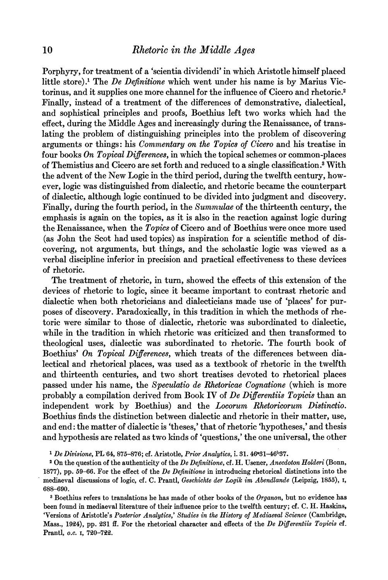**Porphyry, for treatment of a 'scientia dividendi' in which Aristotle himself placed**  little store).<sup>1</sup> The *De Definitione* which went under his name is by Marius Vic**torinus, and it supplies one more channel for the influence of Cicero and rhetoric.2 Finally, instead of a treatment of the differences of demonstrative, dialectical, and sophistical principles and proofs, Boethius left two works which had the effect, during the Middle Ages and increasingly during the Renaissance, of translating the problem of distinguishing principles into the problem of discovering arguments or things: his Commentary on the Topics of Cicero and his treatise in four books On Topical Differences, in which the topical schemes or common-places of Themistius and Cicero are set forth and reduced to a single classification.3 With the advent of the New Logic in the third period, during the twelfth century, however, logic was distinguished from dialectic, and rhetoric became the counterpart of dialectic, although logic continued to be divided into judgment and discovery. Finally, during the fourth period, in the Summulae of the thirteenth century, the emphasis is again on the topics, as it is also in the reaction against logic during the Renaissance, when the Topics of Cicero and of Boethius were once more used (as John the Scot had used topics) as inspiration for a scientific method of discovering, not arguments, but things, and the scholastic logic was viewed as a verbal discipline inferior in precision and practical effectiveness to these devices of rhetoric.** 

**The treatment of rhetoric, in turn, showed the effects of this extension of the devices of rhetoric to logic, since it became important to contrast rhetoric and dialectic when both rhetoricians and dialecticians made use of 'places' for purposes of discovery. Paradoxically, in this tradition in which the methods of rhetoric were similar to those of dialectic, rhetoric was subordinated to dialectic, while in the tradition in which rhetoric was criticized and then transformed to theological uses, dialectic was subordinated to rhetoric. The fourth book of Boethius' On Topical Differences, which treats of the differences between dialectical and rhetorical places, was used as a textbook of rhetoric in the twelfth and thirteenth centuries, and two short treatises devoted to rhetorical places passed under his name, the Speculatio de Rhetoricae Cognatione (which is more probably a compilation derived from Book IV of De Differentiis Topicis than an independent work by Boethius) and the Locorum Rhetoricorum Distinctio. Boethius finds the distinction between dialectic and rhetoric in their matter, use, and end: the matter of dialectic is 'theses,' that of rhetoric 'hypotheses,' and thesis and hypothesis are related as two kinds of 'questions,' the one universal, the other** 

<sup>1</sup> De Divisione, PL 64, 875-876; cf. Aristotle, Prior Analytics, i. 31. 46<sup>5</sup>31-46<sup>b</sup>37.

**<sup>2</sup>On the question of the authenticity of the De Definitione, cf. H. Usener, Anecdoton Holderi (Bonn, 1877), pp. 59-66. For the effect of the De Definitione in introducing rhetorical distinctions into the mediaeval discussions of logic, cf. C. Prantl, Geschichte der Logik im Abendlande (Leipzig, 1855), I, 688-690.** 

**<sup>3</sup>Boethius refers to translations he has made of other books of the Organon, but no evidence has been found in mediaeval literature of their influence prior to the twelfth century; cf. C. H. Haskins, 'Versions of Aristotle's Posterior Analytics,' Studies in the History of Mediaeval Science (Cambridge, Mass., 1924), pp. 231 ff. For the rhetorical character and effects of the De Differentiis Topicis cf. Prantl, o.c. I, 720-722.**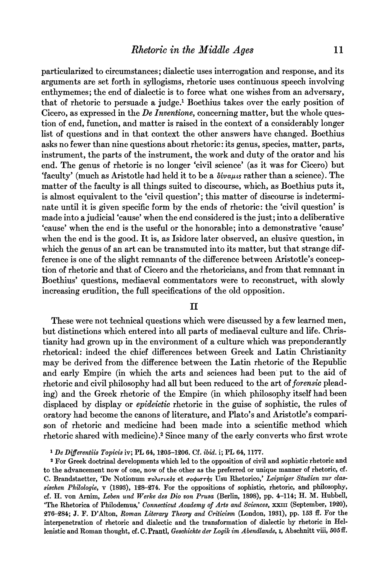**particularized to circumstances; dialectic uses interrogation and response, and its arguments are set forth in syllogisms, rhetoric uses continuous speech involving enthymemes; the end of dialectic is to force what one wishes from an adversary, that of rhetoric to persuade a judge.' Boethius takes over the early position of Cicero, as expressed in the De Inventione, concerning matter, but the whole question of end, function, and matter is raised in the context of a considerably longer list of questions and in that context the other answers have changed. Boethius asks no fewer than nine questions about rhetoric: its genus, species, matter, parts, instrument, the parts of the instrument, the work and duty of the orator and his end. The genus of rhetoric is no longer 'civil science' (as it was for Cicero) but**  'faculty' (much as Aristotle had held it to be a  $\delta \nu \nu \alpha \mu \nu s$  rather than a science). The **matter of the faculty is all things suited to discourse, which, as Boethius puts it, is almost equivalent to the 'civil question'; this matter of discourse is indeterminate until it is given specific form by the ends of rhetoric: the 'civil question' is made into a judicial 'cause' when the end considered is the just; into a deliberative 'cause' when the end is the useful or the honorable; into a demonstrative 'cause' when the end is the good. It is, as Isidore later observed, an elusive question, in which the genus of an art can be transmuted into its matter, but that strange difference is one of the slight remnants of the difference between Aristotle's conception of rhetoric and that of Cicero and the rhetoricians, and from that remnant in Boethius' questions, mediaeval commentators were to reconstruct, with slowly increasing erudition, the full specifications of the old opposition.** 

## **II**

**These were not technical questions which were discussed by a few learned men, but distinctions which entered into all parts of mediaeval culture and life. Christianity had grown up in the environment of a culture which was preponderantly rhetorical: indeed the chief differences between Greek and Latin Christianity may be derived from the difference between the Latin rhetoric of the Republic and early Empire (in which the arts and sciences had been put to the aid of rhetoric and civil philosophy had all but been reduced to the art of forensic pleading) and the Greek rhetoric of the Empire (in which philosophy itself had been displaced by display or epideictic rhetoric in the guise of sophistic, the rules of oratory had become the canons of literature, and Plato's and Aristotle's comparison of rhetoric and medicine had been made into a scientific method which rhetoric shared with medicine).2 Since many of the early converts who first wrote** 

**1 De Differentiis Topicis iv; PL 64, 1205-1206. Cf. ibid. i; PL 64, 1177.** 

**<sup>2</sup>For Greek doctrinal developments which led to the opposition of civil and sophistic rhetoric and to the advancement now of one, now of the other as the preferred or unique manner of rhetoric, cf.**  C. Brandstaetter, 'De Notionum πολιτικόs et σοφιστής Usu Rhetorico,' Leipziger Studien zur clas**sischen Philoogie, v (1893), 128-274. For the oppositions of sophistic, rhetoric, and philosophy, cf. H. von Arnim, Leben und Werke des Dio von Prusa (Berlin, 1898), pp. 4-114; H. M. Hubbell, 'The Rhetorica of Philodemus,' Connecticut Academy of Arts and Sciences, xxIII (September, 1920), 276-284; J. F. D'Alton, Roman Literary Theory and Criticism (London, 1931), pp. 153 if. For the interpenetration of rhetoric and dialectic and the transformation of dialectic by rhetoric in Hellenistic and Roman thought, cf. C. Prantl, Geschichte der Logik im Abendlande, i, Abschnitt viii, 505 ff.**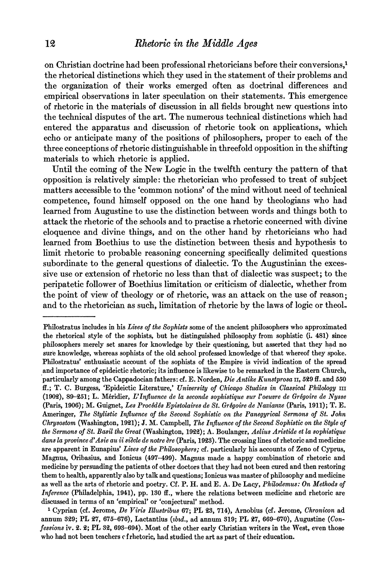**on Christian doctrine had been professional rhetoricians before their conversions,1 the rhetorical distinctions which they used in the statement of their problems and the organization of their works emerged often as doctrinal differences and empirical observations in later speculation on their statements. This emergence of rhetoric in the materials of discussion in all fields brought new questions into the technical disputes of the art. The numerous technical distinctions which had entered the apparatus and discussion of rhetoric took on applications, which echo or anticipate many of the positions of philosophers, proper to each of the three conceptions of rhetoric distinguishable in threefold opposition in the shifting materials to which rhetoric is applied.** 

**Until the coming of the New Logic in the twelfth century the pattern of that opposition is relatively simple: the rhetorician who professed to treat of subject matters accessible to the 'common notions' of the mind without need of technical competence, found himself opposed on the one hand by theologians who had learned from Augustine to use the distinction between words and things both to attack the rhetoric of the schools and to practise a rhetoric concerned with divine eloquence and divine things, and on the other hand by rhetoricians who had learned from Boethius to use the distinction between thesis and hypothesis to limit rhetoric to probable reasoning concerning specifically delimited questions subordinate to the general questions of dialectic. To the Augustinian the excessive use or extension of rhetoric no less than that of dialectic was suspect; to the peripatetic follower of Boethius limitation or criticism of dialectic, whether from the point of view of theology or of rhetoric, was an attack on the use of reason; and to the rhetorician as such, limitation of rhetoric by the laws of logic or theol-**

**Philostratus includes in his Lives of the Sophists some of the ancient philosophers who approximated the rhetorical style of the sophists, but he distinguished philosophy from sophistic (i. 481) since philosophers merely set snares for knowledge by their questioning, but asserted that they had no sure knowledge, whereas sophists of the old school professed knowledge of that whereof they spoke. Philostratus' enthusiastic account of the sophists of the Empire is vivid indication of the spread and importance of epideictic rhetoric; its influence is likewise to be remarked in the Eastern Church, particularly among the Cappadocian fathers: cf. E. Norden, Die Antike Kunstprosa ii, 529 ff. and 550 ff.; T. C. Burgess, 'Epideictic Literature,' University of Chicago Studies in Classical Philology inI (1902), 89-251; L. Meridier, L'Influence de la seconde sophistique sur l'oeuvre de Gregoire de Nysse**  (Paris, 1906); M. Guignet, Les Procédés Epistolaires de St. Grégoire de Nazianze (Paris, 1911); T. E. **Ameringer, The Stylistic Influence of the Second Sophistic on the Panegyrical Sermons of St. John Chrysostom (Washington, 1921); J. M. Campbell, The Influence of the Second Sophistic on the Style of the Sermons of St. Basil the Great (Washington, 1922); A. Boulanger, Aelius Aristide et la sophistique dans la province d'Asie au ii siecle de notre ere (Paris, 1923). The crossing lines of rhetoric and medicine are apparent in Eunapius' Lives of the Philosophers; cf. particularly his accounts of Zeno of Cyprus, Magnus, Oribasius, and Ionicus (497-499). Magnus made a happy combination of rhetoric and medicine by persuading the patients of other doctors that they had not been cured and then restoring them to health, apparently also by talk and questions; Ionicus was master of philosophy and medicine as well as the arts of rhetoric and poetry. Cf. P. H. and E. A. De Lacy, Philodemus: On Methods of Inference (Philadelphia, 1941), pp. 130 ff., where the relations between medicine and rhetoric are discussed in terms of an 'empirical' or 'conjectural' method.** 

**<sup>1</sup> Cyprian (cf. Jerome, De Yiris Illustribus 67; PL 23, 714), Arnobius (cf. Jerome, Chronicon ad**  annum 329; PL 27, 675-676), Lactantius (*ibid.*, ad annum 319; PL 27, 669-670), Augustine (*Con***fessions iv. 2. 2; PL 32, 693-694). Most of the other early Christian writers in the West, even those who had not been teachers cf rhetoric, had studied the art as part of their education.**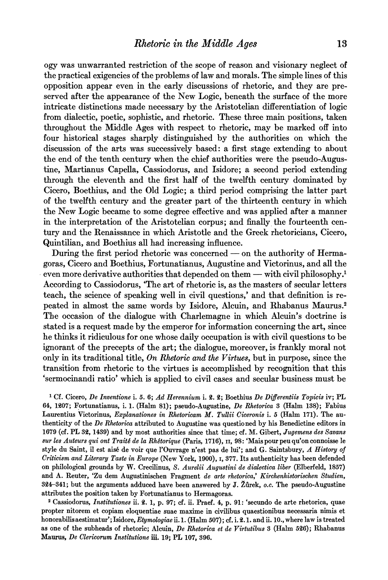**ogy was unwarranted restriction of the scope of reason and visionary neglect of the practical exigencies of the problems of law and morals. The simple lines of this opposition appear even in the early discussions of rhetoric, and they are preserved after the appearance of the New Logic, beneath the surface of the more intricate distinctions made necessary by the Aristotelian differentiation of logic from dialectic, poetic, sophistic, and rhetoric. These three main positions, taken throughout the Middle Ages with respect to rhetoric, may be marked off into four historical stages sharply distinguished by the authorities on which the discussion of the arts was successively based: a first stage extending to about the end of the tenth century when the chief authorities were the pseudo-Augustine, Martianus Capella, Cassiodorus, and Isidore; a second period extending through the eleventh and the first half of the twelfth century dominated by Cicero, Boethius, and the Old Logic; a third period comprising the latter part of the twelfth century and the greater part of the thirteenth century in which the New Logic became to some degree effective and was applied after a manner in the interpretation of the Aristotelian corpus; and finally the fourteenth century and the Renaissance in which Aristotle and the Greek rhetoricians, Cicero, Quintilian, and Boethius all had increasing influence.** 

During the first period rhetoric was concerned — on the authority of Herma**goras, Cicero and Boethius, Fortunatianus, Augustine and Victorinus, and all the even more derivative authorities that depended on them — with civil philosophy.<sup>1</sup> According to Cassiodorus, 'The art of rhetoric is, as the masters of secular letters teach, the science of speaking well in civil questions,' and that definition is repeated in almost the same words by Isidore, Alcuin, and Rhabanus Maurus.2 The occasion of the dialogue with Charlemagne in which Alcuin's doctrine is stated is a request made by the emperor for information concerning the art, since he thinks it ridiculous for one whose daily occupation is with civil questions to be ignorant of the precepts of the art; the dialogue, moreover, is frankly moral not only in its traditional title, On Rhetoric and the Virtues, but in purpose, since the transition from rhetoric to the virtues is accomplished by recognition that this 'sermocinandi ratio' which is applied to civil cases and secular business must be** 

**<sup>1</sup>Cf. Cicero, De Inventione i. 5. 6; Ad Herennium i. 2. 2; Boethius De Differentiis Topicis iv; PL 64, 1207; Fortunatianus, i. 1. (Halm 81); pseudo-Augustine, De Rhetorica 3 (Halm 138); Fabius**  Laurentius Victorinus, *Explanationes in Rhetoricam M. Tullii Ciceronis* i. 5 (Halm 171). The au**thenticity of the De Rhetorica attributed to Augustine was questioned by his Benedictine editors in 1679 (cf. PL 32, 1439) and by most authorities since that time; cf. M. Gibert, Jugemens des Savans sur les Auteurs qui ont Traite de la Rhetorique (Paris, 1716), II, 98: 'Mais pour peu qu'on connoisse le style du Saint, il est ais6 de voir que l'Ouvrage n'est pas de lui'; and G. Saintsbury, A History of Criticism and Literary Taste in Europe (New York, 1900), I, 377. Its authenticity has been defended on philological grounds by W. Crecilinus, S. Aurelii Augustini de dialectica liber (Elberfeld, 1857) and A. Reuter, 'Zu dem Augustinischen Fragment de arte rhetorica,' Kirchenhistorischen Studien, 324-341; but the arguments adduced have been answered by J. Zurek, o.c. The pseudo-Augustine attributes the position taken by Fortunatianus to Hermagoras.** 

<sup>2</sup>**Cassiodorus, Institutiones ii. 2. 1, p. 97; cf. ii. Praef. 4, p. 91: 'secundo de arte rhetorica, quae propter nitorem et copiam eloquentiae suae maxime in civilibus quaestionibus necessaria nimis et honorabilisaestimatur'; Isidore, Etymologiae ii. 1. (Halm 507); cf. i. 2. 1. and ii. 10., where law is treated as one of the subheads of rhetoric; Alcuin, De Rhetorica et de Virtutibus 3 (Halm 526); Rhabanus Maurus, De Clericorum Institutione iii. 19; PL 107, 396.**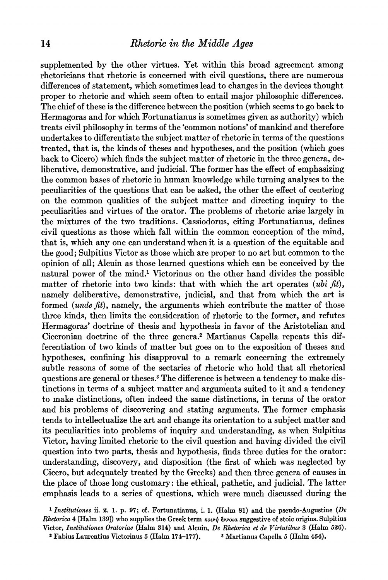**supplemented by the other virtues. Yet within this broad agreement among rhetoricians that rhetoric is concerned with civil questions, there are numerous differences of statement, which sometimes lead to changes in the devices thought proper to rhetoric and which seem often to entail major philosophic differences. The chief of these is the difference between the position (which seems to go back to Hermagoras and for which Fortunatianus is sometimes given as authority) which treats civil philosophy in terms of the 'common notions' of mankind and therefore undertakes to differentiate the subject matter of rhetoric in terms of the questions treated, that is, the kinds of theses and hypotheses, and the position (which goes back to Cicero) which finds the subject matter of rhetoric in the three genera, deliberative, demonstrative, and judicial. The former has the effect of emphasizing the common bases of rhetoric in human knowledge while turning analyses to the peculiarities of the questions that can be asked, the other the effect of centering on the common qualities of the subject matter and directing inquiry to the peculiarities and virtues of the orator. The problems of rhetoric arise largely in the mixtures of the two traditions. Cassiodorus, citing Fortunatianus, defines civil questions as those which fall within the common conception of the mind, that is, which any one can understand when it is a question of the equitable and the good; Sulpitius Victor as those which are proper to no art but common to the opinion of all; Alcuin as those learned questions which can be conceived by the natural power of the mind.' Victorinus on the other hand divides the possible**  matter of rhetoric into two kinds: that with which the art operates *(ubi fit)*, **namely deliberative, demonstrative, judicial, and that from which the art is formed (unde fit), namely, the arguments which contribute the matter of those three kinds, then limits the consideration of rhetoric to the former, and refutes Hermagoras' doctrine of thesis and hypothesis in favor of the Aristotelian and Ciceronian doctrine of the three genera.2 Martianus Capella repeats this differentiation of two kinds of matter but goes on to the exposition of theses and hypotheses, confining his disapproval to a remark concerning the extremely subtle reasons of some of the sectaries of rhetoric who hold that all rhetorical questions are general or theses.3 The difference is between a tendency to make distinctions in terms of a subject matter and arguments suited to it and a tendency to make distinctions, often indeed the same distinctions, in terms of the orator and his problems of discovering and stating arguments. The former emphasis tends to intellectualize the art and change its orientation to a subject matter and its peculiarities into problems of inquiry and understanding, as when Sulpitius Victor, having limited rhetoric to the civil question and having divided the civil question into two parts, thesis and hypothesis, finds three duties for the orator: understanding, discovery, and disposition (the first of which was neglected by Cicero, but adequately treated by the Greeks) and then three genera of causes in the place of those long customary: the ethical, pathetic, and judicial. The latter emphasis leads to a series of questions, which were much discussed during the** 

**1 Institutiones ii. Q. 1. p. 97; cf. Fortunatianus, i. 1. (Halm 81) and the pseudo-Augustine (De Rhetorica 4 [Halm 139])** who supplies the Greek term  $\kappa_0 \nu \eta$  *evola* suggestive of stoic origins. Sulpitius **Victor, Institutiones Oratoriae (Halm 314) and Alcuin, De Rhetorica et de Virtutibus 3 (Halm 526).**<br> **<sup>3</sup> Fabius Laurentius Victorinus 5 (Halm 174–177).** <sup>3</sup> Martianus Capella 5 (Halm 454).

<sup>2</sup> Fabius Laurentius Victorinus 5 (Halm 174-177).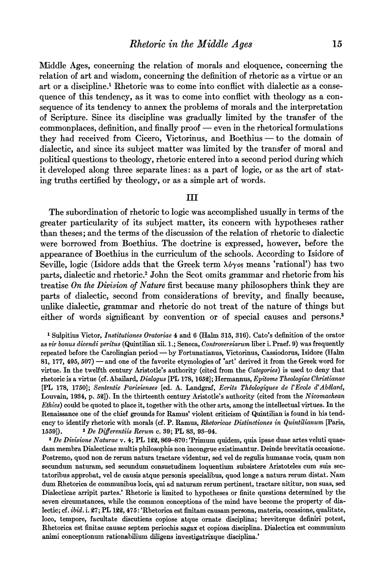**Middle Ages, concerning the relation of morals and eloquence, concerning the relation of art and wisdom, concerning the definition of rhetoric as a virtue or an art or a discipline.l Rhetoric was to come into conflict with dialectic as a consequence of this tendency, as it was to come into conflict with theology as a consequence of its tendency to annex the problems of morals and the interpretation of Scripture. Since its discipline was gradually limited by the transfer of the**  commonplaces, definition, and finally proof — even in the rhetorical formulations **they had received from Cicero, Victorinus, and Boethius - to the domain of dialectic, and since its subject matter was limited by the transfer of moral and political questions to theology, rhetoric entered into a second period during which it developed along three separate lines: as a part of logic, or as the art of stating truths certified by theology, or as a simple art of words.** 

## **III**

**The subordination of rhetoric to logic was accomplished usually in terms of the greater particularity of its subject matter, its concern with hypotheses rather than theses; and the terms of the discussion of the relation of rhetoric to dialectic were borrowed from Boethius. The doctrine is expressed, however, before the appearance of Boethius in the curriculum of the schools. According to Isidore of Seville, logic (Isidore adds that the Greek term X6'yos means 'rational') has two parts, dialectic and rhetoric.2 John the Scot omits grammar and rhetoric from his treatise On the Division of Nature first because many philosophers think they are parts of dialectic, second from considerations of brevity, and finally because, unlike dialectic, grammar and rhetoric do not treat of the nature of things but either of words significant by convention or of special causes and persons.3** 

**1 Sulpitius Victor, Institutiones Oratoriae 4 and 6 (Halm 315, 316). Cato's definition of the orator as vir bonus dicendi peritus (Quintilian xii. 1.; Seneca, Controversiarum liber i. Praef. 9) was frequently repeated before the Carolingian period - by Fortunatianus, Victorinus, Cassiodorus, Isidore (Halm 81, 177, 495, 507) - and one of the favorite etymologies of 'art' derived it from the Greek word for virtue. In the twelfth century Aristotle's authority (cited from the Categories) is used to deny that rhetoric is a virtue (cf. Abailard, Dialogus [PL 178, 1652]; Hermannus, Epitome Theologiae Christianae [PL 178, 1750]; Sententie Parisienses [ed. A. Landgraf, Ecrits Th6ologiques de l'Ecole d'Abelard,**  Louvain, 1934, p. 52]). In the thirteenth century Aristotle's authority (cited from the *Nicomachean* **Ethics) could be quoted to place it, together with the other arts, among the intellectual virtues. In the Renaissance one of the chief grounds for Ramus' violent criticism of Quintilian is found in his tend**ency to identify rhetoric with morals (cf. P. Ramus, *Rhetoricae Distinctiones in Quintilianum* [Paris, 1559]). <sup>2</sup> De Differentiis Rerum c. 39; PL 83, 93-94. **1559]). <sup>2</sup>De Differentiis Rerum c. 39; PL 83, 93-94.** 

**3 De Divisione Naturae v. 4; PL 12Q, 869-870: 'Primum quidem, quia ipsae duae artes veluti quaedam membra Dialecticae multis philosophis non incongrue existimantur. Deinde brevitatis occasione. Postremo, quod non de rerum natura tractare videntur, sed vel de regulis humanae vocis, quam non secundum naturam, sed secundum consuetudinem loquentium subsistere Aristoteles cum suis sectatoribus approbat, vel de causis atque personis specialibus, quod longe a natura rerum distat. Nam dum Rhetorica de communibus locis, qui ad naturam rerum pertinent, tractare nititur, non suas, sed Dialecticae arripit partes.' Rhetoric is limited to hypotheses or finite questions determined by the seven circumstances, while the common conceptions of the mind have become the property of dialectic; cf. ibid. i. Q7; PL 1B2, 475: 'Rhetorica est finitam causam persona, materia, occasione, qualitate, loco, tempore, facultate discutiens copiose atque ornate disciplina; breviterque definiri potest, Rhetorica est finitae causae septem periochis sagax et copiosa disciplina. Dialectica est communium animi conceptionum rationabilium diligens investigatrixque disciplina.'**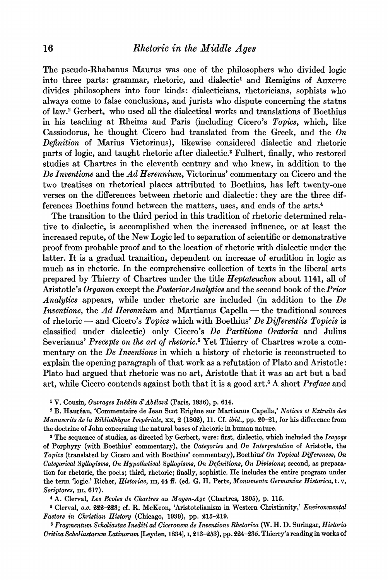**The pseudo-Rhabanus Maurus was one of the philosophers who divided logic**  into three parts: grammar, rhetoric, and dialectic<sup>1</sup> and Remigius of Auxerre **divides philosophers into four kinds: dialecticians, rhetoricians, sophists who always come to false conclusions, and jurists who dispute concerning the status of law.2 Gerbert, who used all the dialectical works and translations of Boethius in his teaching at Rheims and Paris (including Cicero's Topics, which, like Cassiodorus, he thought Cicero had translated from the Greek, and the On Definition of Marius Victorinus), likewise considered dialectic and rhetoric parts of logic, and taught rhetoric after dialectic.3 Fulbert, finally, who restored studies at Chartres in the eleventh century and who knew, in addition to the De Inventione and the Ad Herennium, Victorinus' commentary on Cicero and the two treatises on rhetorical places attributed to Boethius, has left twenty-one verses on the differences between rhetoric and dialectic: they are the three differences Boethius found between the matters, uses, and ends of the arts.4** 

**The transition to the third period in this tradition of rhetoric determined relative to dialectic, is accomplished when the increased influence, or at least the increased repute, of the New Logic led to separation of scientific or demonstrative proof from probable proof and to the location of rhetoric with dialectic under the latter. It is a gradual transition, dependent on increase of erudition in logic as much as in rhetoric. In the comprehensive collection of texts in the liberal arts prepared by Thierry of Chartres under the title Heptateuchon about 1141, all of Aristotle's Organon except the PosteriorAnalytics and the second book of the Prior Analytics appears, while under rhetoric are included (in addition to the De**  Inventione, the Ad Herennium and Martianus Capella — the traditional sources **of rhetoric- and Cicero's Topics which with Boethius' De Differentiis Topicis is classified under dialectic) only Cicero's De Partitione Oratoria and Julius Severianus' Precepts on the art of rhetoric.5 Yet Thierry of Chartres wrote a commentary on the De Inventione in which a history of rhetoric is reconstructed to explain the opening paragraph of that work as a refutation of Plato and Aristotle: Plato had argued that rhetoric was no art, Aristotle that it was an art but a bad art, while Cicero contends against both that it is a good art.6 A short Preface and** 

**1 V. Cousin, Ouvrages In&dits d'Ab6lard (Paris, 1836), p. 614.** 

**<sup>2</sup>B. Haur6au, 'Commentaire de Jean Scot Erigene sur Martianus Capella,' Notices et Extraits des Manuscrits de la Bibliothaque Imperiale, xx, 2 (186Q), 11. Cf. ibid., pp. 20-21, for his difference from the doctrine of John concerning the natural bases of rhetoric in human nature.** 

**3 The sequence of studies, as directed by Gerbert, were: first, dialectic, which included the Isagoge of Porphyry (with Boethius' commentary), the Categories and On Interpretation of Aristotle, the Topics (translated by Cicero and with Boethius' commentary), Boethius' On Topical Differences, On Categorical Syllogisms, On Hypothetical Syllogisms, On Definitions, On Divisions; second, as preparation for rhetoric, the poets; third, rhetoric; finally, sophistic. He includes the entire program under the term 'logic.' Richer, Historiae, in, 44 ff. (ed. G. H. Pertz, Monumenta Germaniae Historica, t. v, Scriptores, in, 617).** 

**4 A. Clerval, Les Ecoles de Chartres au Moyen-Age (Chartres, 1895), p. 115.** 

<sup>5</sup> Clerval, o.c. 222-223; cf. R. McKeon, 'Aristotelianism in Western Christianity,' Environmental **Factors in Christian History (Chicago, 1939), pp. Q15-219.** 

**6 Fragmentum Scholiastae Inediti ad Ciceronem de Inventione Rhetorica (W. H. D. Suringar, Historia Critica Scholiastarum Latinorum [Leyden, 1834],, I,13-253), pp. QQ4-Q35. Thierry's reading in works of**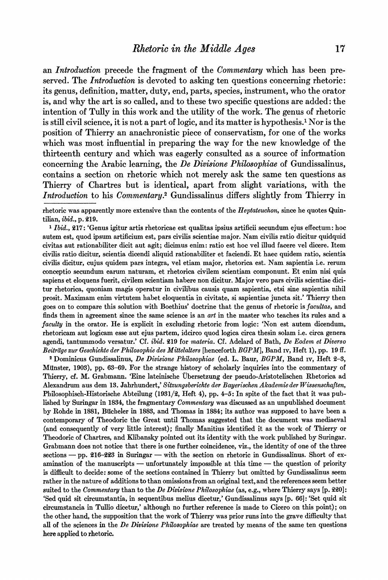**an Introduction precede the fragment of the Commentary which has been preserved. The Introduction is devoted to asking ten questions concerning rhetoric: its genus, definition, matter, duty, end, parts, species, instrument, who the orator is, and why the art is so called, and to these two specific questions are added: the intention of Tully in this work and the utility of the work. The genus of rhetoric is still civil science, it is not a part of logic, and its matter is hypothesis.' Nor is the position of Thierry an anachronistic piece of conservatism, for one of the works which was most influential in preparing the way for the new knowledge of the thirteenth century and which was eagerly consulted as a source of information concerning the Arabic learning, the De Divisione Philosophiae of Gundissalinus, contains a section on rhetoric which not merely ask the same ten questions as Thierry of Chartres but is identical, apart from slight variations, with the Introduction to his Commentary.2 Gundissalinus differs slightly from Thierry in** 

**<sup>2</sup>Dominicus Gundissalinus, De Divisione Philosophiae (ed. L. Baur, BGPM, Band Iv, Heft 2-3, MUinster, 1903), pp. 63-69. For the strange history of scholarly inquiries into the commentary of Thierry, cf. M. Grabmann. 'Eine lateinische Ubersetzung der pseudo-Aristotelischen Rhetorica ad Alexandrum aus dem 13. Jahrhundert,' Sitzungsberichte der Bayerischen Akademie der Wissenschaften, Philosophisch-Historische Abteilung (1931/2, Heft 4), pp. 4-5: In spite of the fact that it was published by Suringar in 1834, the fragmentary Commentary was discussed as an unpublished document**  by Rohde in 1881, Bücheler in 1883, and Thomas in 1884; its author was supposed to have been a **contemporary of Theodoric the Great until Thomas suggested that the document was mediaeval (and consequently of very little interest); finally Manitius identified it as the work of Thierry or Theodoric of Chartres, and Klibansky pointed out its identity with the work published by Suringar. Grabmann does not notice that there is one further coincidence, viz., the identity of one of the three**  sections — pp. 216-223 in Suringar — with the section on rhetoric in Gundissalinus. Short of examination of the manuscripts — unfortunately impossible at this time — the question of priority **is difficult to decide: some of the sections contained in Thierry but omitted by Gundissalinus seem rather in the nature of additions to than omissions from an original text, and the references seem better suited to the Commentary than to the De Divisione Philosophiae (as, e.g., where Thierry says [p. 220]: 'Sed quid sit circumstantia, in sequentibus melius dicetur,' Gundissalinus says [p. 66]: 'Set quid sit circumstancia in Tullio dicetur,' although no further reference is made to Cicero on this point); on the other hand, the supposition that the work of Thierry was prior runs into the grave difficulty that all of the sciences in the De Divisione Philosophiae are treated by means of the same ten questions here applied to rhetoric.** 

**rhetoric was apparently more extensive than the contents of the Heptateuchon, since he quotes Quintilian, ibid., p. 219.** 

**<sup>1</sup> Ibid., Q17: 'Genus igitur artis rhetoricae est qualitas ipsius artificii secundum ejus effectum: hoc autem est, quod ipsum artificium est, pars civilis scientiae major. Nam civilis ratio dicitur quidquid civitas aut rationabiliter dicit aut agit; dicimus enim: ratio est hoc vel illud facere vel dicere. Item civilis ratio dicitur, scientia dicendi aliquid rationabiliter et faciendi. Et haec quidem ratio, scientia civilis dicitur, cujus quidem pars integra, vel etiam major, rhetorica est. Nam sapientia i.e. rerum conceptio secundum earum naturam, et rhetorica civilem scientiam componunt. Et enim nisi quis sapiens et eloquens fuerit, civilem scientiam habere non dicitur. Major vero pars civilis scientiae dicitur rhetorica, quoniam magis operatur in civilibus causis quam sapientia, etsi sine sapientia nihil prosit. Maximam enim virtutem habet eloquentia in civitate, si sapientiae juncta sit.' Thierry then goes on to compare this solution with Boethius' doctrine that the genus of rhetoric is facultas, and finds them in agreement since the same science is an art in the master who teaches its rules and a faculty in the orator. He is explicit in excluding rhetoric from logic: 'Non est autem dicendum, rhetoricam aut logicam esse aut ejus partem, idcirco quod logica circa thesin solam i.e. circa genera agendi, tantummodo versatur.' Cf. ibid. 219 for materia. Cf. Adelard of Bath, De Eodem et Diverso Beitrdge zur Geschichte der Philosophie des Mittelalters [henceforth BGPM], Band Iv, Heft 1), pp. 19 ff.**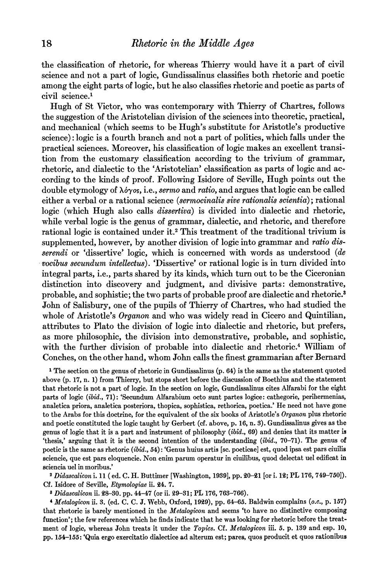**the classification of rhetoric, for whereas Thierry would have it a part of civil science and not a part of logic, Gundissalinus classifies both rhetoric and poetic among the eight parts of logic, but he also classifies rhetoric and poetic as parts of civil science.'** 

**Hugh of St Victor, who was contemporary with Thierry of Chartres, follows the suggestion of the Aristotelian division of the sciences into theoretic, practical, and mechanical (which seems to be Hugh's substitute for Aristotle's productive science): logic is a fourth branch and not a part of politics, which falls under the practical sciences. Moreover, his classification of logic makes an excellent transition from the customary classification according to the trivium of grammar, rhetoric, and dialectic to the 'Aristotelian' classification as parts of logic and according to the kinds of proof. Following Isidore of Seville, Hugh points out the double etymology of X6yos, i.e., sermo and ratio, and argues that logic can be called either a verbal or a rational science (sermocinalis sive rationalis scientia); rational logic (which Hugh also calls dissertiva) is divided into dialectic and rhetoric, while verbal logic is the genus of grammar, dialectic, and rhetoric, and therefore rational logic is contained under it.2 This treatment of the traditional trivium is supplemented, however, by another division of logic into grammar and ratio disserendi or 'dissertive' logic, which is concerned with words as understood (de vocibus secundum intellectus). 'Dissertive' or rational logic is in turn divided into integral parts, i.e., parts shared by its kinds, which turn out to be the Ciceronian distinction into discovery and judgment, and divisive parts: demonstrative, probable, and sophistic; the two parts of probable proof are dialectic and rhetoric.3 John of Salisbury, one of the pupils of Thierry of Chartres, who had studied the whole of Aristotle's Organon and who was widely read in Cicero and Quintilian, attributes to Plato the division of logic into dialectic and rhetoric, but prefers, as more philosophic, the division into demonstrative, probable, and sophistic,**  with the further division of probable into dialectic and rhetoric.<sup>4</sup> William of **Conches, on the other hand, whom John calls the finest grammarian after Bernard** 

**1 The section on the genus of rhetoric in Gundissalinus (p. 64) is the same as the statement quoted above (p. 17, n. 1) from Thierry, but stops short before the discussion of Boethius and the statement that rhetoric is not a part of logic. In the section on logic, Gundissalinus cites Alfarabi for the eight parts of logic (ibid., 71): 'Secundum Alfarabium octo sunt partes logice: cathegorie, perihermenias, analetica priora, analetica posteriora, thopica, sophistica, rethorica, poetica.' He need not have gone to the Arabs for this doctrine, for the equivalent of the six books of Aristotle's Organon plus rhetoric and poetic constituted the logic taught by Gerbert (cf. above, p. 16, n. 3). Gundissalinus gives as the genus of logic that it is a part and instrument of philosophy (ibid., 69) and denies that its matter is 'thesis,' arguing that it is the second intention of the understanding (ibid., 70-71). The genus of poetic is the same as rhetoric (ibid., 54): 'Genus huius artis [sc. poeticae] est, quod ipsa est pars ciuilis sciencie, que est pars eloquencie. Non enim parum operatur in ciuilibus, quod delectat uel edificat in sciencia uel in moribus.'** 

**<sup>2</sup>Didascalicon i. 11 (ed. C. H. Buttimer [Washington, 1939], pp. 20-21 [or i. 12; PL 176, 749-750]). Cf. Isidore of Seville, Etymologiae ii. 24. 7.** 

**<sup>3</sup>Didascalicon ii. S8-30. pp. 44-47 (or ii. 29-31; PL 176, 763-766).** 

**4 Metalogicon ii. 3. (ed. C. C. J. Webb, Oxford, 1929), pp. 64-65. Baldwin complains (o.c., p. 157) that rhetoric is barely mentioned in the Metalogicon and seems 'to have no distinctive composing function'; the few references which he finds indicate that he was looking for rhetoric before the treatment of logic, whereas John treats it under the Topics. Cf. Metalogicon iii. 5. p. 139 and esp. 10, pp. 154-155: 'Quia ergo exercitatio dialectice ad alterum est; pares, quos producit et quos rationibus**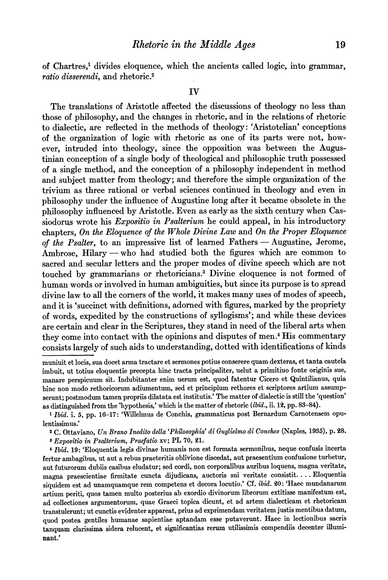**of Chartres,' divides eloquence, which the ancients called logic, into grammar, ratio disserendi, and rhetoric.2** 

**The translations of Aristotle affected the discussions of theology no less than those of philosophy, and the changes in rhetoric, and in the relations of rhetoric to dialectic, are reflected in the methods of theology: 'Aristotelian' conceptions of the organization of logic with rhetoric as one of its parts were not, however, intruded into theology, since the opposition was between the Augustinian conception of a single body of theological and philosophic truth possessed of a single method, and the conception of a philosophy independent in method and subject matter from theology; and therefore the simple organization of the trivium as three rational or verbal sciences continued in theology and even in philosophy under the influence of Augustine long after it became obsolete in the philosophy influenced by Aristotle. Even as early as the sixth century when Cassiodorus wrote his Expositio in Psalterium he could appeal, in his introductory chapters, On the Eloquence of the Whole Divine Law and On the Proper Eloquence of the Psalter, to an impressive list of learned Fathers - Augustine, Jerome, Ambrose, Hilary- who had studied both the figures which are common to sacred and secular letters and the proper modes of divine speech which are not touched by grammarians or rhetoricians.3 Divine eloquence is not formed of human words or involved in human ambiguities, but since its purpose is to spread divine law to all the corners of the world, it makes many uses of modes of speech, and it is 'succinct with definitions, adorned with figures, marked by the propriety of words, expedited by the constructions of syllogisms'; and while these devices are certain and clear in the Scriptures, they stand in need of the liberal arts when they come into contact with the opinions and disputes of men.4 His commentary consists largely of such aids to understanding, dotted with identifications of kinds** 

**muniuit et locis, sua docet arma tractare et sermones potius conserere quam dexteras, et tanta cautela imbuit, ut totius eloquentie precepta hinc tracta principaliter, uelut a primitiuo fonte originis sue, manare perspicuum sit. Indubitanter enim uerum est, quod fatentur Cicero et Quintilianus, quia hinc non modo rethoricorum adiumentum, sed et principium rethores et scriptores artium assumpserunt; postmodum tamen propriis dilatata est institutis.' The matter of dialectic is still the 'question' as distinguished from the 'hypothesis,' which is the matter of rhetoric (ibid., ii. 12, pp. 83-84).** 

**<sup>1</sup> Ibid. i. 5, pp. 16-17: 'Willelmus de Conchis, grammaticus post Bernardum Carnotensem opulentissimus.'** 

**<sup>2</sup>C. Ottaviano, Un Brano Inedito della 'Philosophia' di Guglielmo di Conches (Naples, 1935), p. Q8.** 

**<sup>3</sup> Expositio in Psalterium, Praefatio xv; PL 70, 21.** 

**<sup>4</sup>Ibid. 19: 'Eloquentia legis divinae humanis non est formata sermonibus, neque confusis incerta fertur ambagibus, ut aut a rebus praeteritis oblivione discedat, aut praesentium confusione turbetur, aut futurorum dubiis casibus eludatur; sed cordi, non corporalibus auribus loquens, magna veritate, magna praescientiae firmitate cuncta dijudicans, auctoris sui veritate consistit.... Eloquentia siquidem est ad unamquamque rem competens et decora locutio.' Cf. ibid. 20: 'Haec mundanarum artium periti, quos tamen multo posterius ab exordio divinorum librorum extitisse manifestum est, ad collectiones argumentorum, quae Graeci topica dicunt, et ad artem dialecticam et rhetoricam transtulerunt; ut cunctis evidenter appareat, prius ad exprimendam veritatem justis mentibus datum, quod postea gentiles humanae sapientiae aptandam esse putaverunt. Haec in lectionibus sacris tanquam clarissima sidera relucent, et significantias rerum utilissimis compendiis decenter illuminant.'**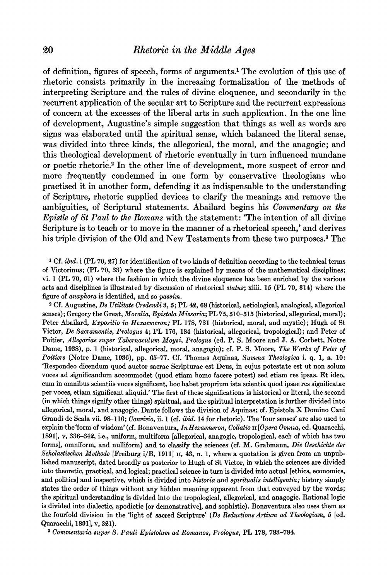**of definition, figures of speech, forms of arguments.1 The evolution of this use of rhetoric consists primarily in the increasing formalization of the methods of interpreting Scripture and the rules of divine eloquence, and secondarily in the recurrent application of the secular art to Scripture and the recurrent expressions of concern at the excesses of the liberal arts in such application. In the one line of development, Augustine's simple suggestion that things as well as words are signs was elaborated until the spiritual sense, which balanced the literal sense, was divided into three kinds, the allegorical, the moral, and the anagogic; and this theological development of rhetoric eventually in turn influenced mundane or poetic rhetoric.2 In the other line of development, more suspect of error and more frequently condemned in one form by conservative theologians who practised it in another form, defending it as indispensable to the understanding of Scripture, rhetoric supplied devices to clarify the meanings and remove the ambiguities, of Scriptural statements. Abailard begins his Commentary on the Epistle of St Paul to the Romans with the statement: 'The intention of all divine Scripture is to teach or to move in the manner of a rhetorical speech,' and derives his triple division of the Old and New Testaments from these two purposes.3 The** 

**1 Cf. ibzd. i (PL 70, 27) for identification of two kinds of definition according to the technical terms of Victorinus; (PL 70, 33) where the figure is explained by means of the mathematical disciplines; vi. 1 (PL 70, 61) where the fashion in which the divine eloquence has been enriched by the various arts and disciplines is illustrated by discussion of rhetorical status; xliii. 15 (PL 70, 314) where the figure of anaphora is identified, and so passim.** 

**2 Cf. Augustine, De Utilitate Credendi 3, 5; PL 4P, 68 (historical, aetiological, analogical, allegorical senses); Gregory the Great, Moralia, Epistola Missoria; PL 75, 510-515 (historical, allegorical, moral);**  Peter Abailard, *Expositio in Hexaemeron*; PL 178, 731 (historical, moral, and mystic); Hugh of St **Victor, De Sacramentis, Prologus 4; PL 176, 184 (historical, allegorical, tropological); and Peter of Poitier, Allegoriae super Tabernaculum Moysi, Prologus (ed. P. S. Moore and J. A. Corbett, Notre Dame, 1938), p. 1 (historical, allegorical, moral, anagogic); cf. P. S. Moore, The Works of Peter of Poitiers (Notre Dame, 1936), pp. 65-77. Cf. Thomas Aquinas, Summa Theologica i. q. 1, a. 10: 'Respondeo dicendum quod auctor sacrae Scripturae est Deus, in cujus potestate est ut non solum voces ad significandum accommodet (quod etiam homo facere potest) sed etiam res ipsas. Et ideo, cum in omnibus scientiis voces significent, hoc habet proprium ista scientia quod ipsae res significatae per voces, etiam significant aliquid.' The first of these significations is historical or literal, the second (in which things signify other things) spiritual, and the spiritual interpretation is further divided into allegorical, moral, and anagogic. Dante follows the division of Aquinas; cf. Epistola X Domino Cani Grandi de Scala vii. 98-116; Convivio, ii. 1 (cf. ibid. 14 for rhetoric). The 'four senses' are also used to explain the'form of wisdom' (cf. Bonaventura, InHexaemeron, Collatio ii [Opera Omnza, ed. Quaracchi, 1891], v, 336-342, i.e., uniform, multiform [allegorical, anagogic, tropological, each of which has two**  forms], omniform, and nulliform) and to classify the sciences (cf. M. Grabmann, *Die Geschichte der* Scholastischen Methode [Freiburg i/B, 1911]  $\pi$ , 43, n. 1, where a quotation is given from an unpub**lished manuscript, dated broadly as posterior to Hugh of St Victor, in which the sciences are divided into theoretic, practical, and logical; practical science in turn is divided into actual [ethics, economics,**  and politics] and inspective, which is divided into historia and spiritualis intelligentia; history simply **states the order of things without any hidden meaning apparent from that conveyed by the words; the spiritual understanding is divided into the tropological, allegorical, and anagogic. Rational logic is divided into dialectic, apodictic [or demonstrative], and sophistic). Bonaventura also uses them as the fourfold division in the 'light of sacred Scripture' (De ReductioneArtium ad Theologiam, 5 [ed. Quaracchi, 1891], v, 321).** 

**3 Commentaria super S. Pauli Epistolam ad Romanos, Prologus, PL 178, 783-784.**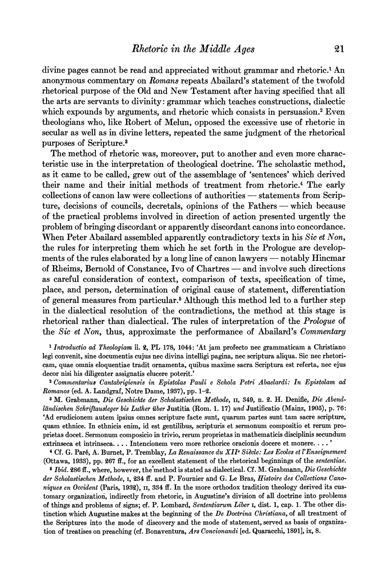**divine pages cannot be read and appreciated without grammar and rhetoric.l An anonymous commentary on Romans repeats Abailard's statement of the twofold rhetorical purpose of the Old and New Testament after having specified that all the arts are servants to divinity: grammar which teaches constructions, dialectic which expounds by arguments, and rhetoric which consists in persuasion.2 Even theologians who, like Robert of Melun, opposed the excessive use of rhetoric in secular as well as in divine letters, repeated the same judgment of the rhetorical purposes of Scripture.3** 

**The method of rhetoric was, moreover, put to another and even more characteristic use in the interpretation of theological doctrine. The scholastic method, as it came to be called, grew out of the assemblage of 'sentences' which derived their name and their initial methods of treatment from rhetoric.4 The early collections of canon law were collections of authorities - statements from Scripture, decisions of councils, decretals, opinions of the Fathers - which because of the practical problems involved in direction of action presented urgently the problem of bringing discordant or apparently discordant canons into concordance.**  When Peter Abailard assembled apparently contradictory texts in his Sic et Non, **the rules for interpreting them which he set forth in the Prologue are developments of the rules elaborated by a long line of canon lawyers - notably Hincmar**  of Rheims, Bernold of Constance, Ivo of Chartres — and involve such directions **as careful consideration of context, comparison of texts, specification of time, place, and person, determination of original cause of statement, differentiation of general measures from particular.5 Although this method led to a further step in the dialectical resolution of the contradictions, the method at this stage is rhetorical rather than dialectical. The rules of interpretation of the Prologue of the Sic et Non, thus, approximate the performance of Abailard's Commentary** 

**1 Introductio ad Theologiam ii. i, PL 178, 1044: 'At jam profecto nec grammaticam a Christiano legi convenit, sine documentis cujus nec divina intelligi pagina, nec scriptura aliqua. Sic nec rhetoricam, quae omnis eloquentiae tradit ornamenta, quibus maxime sacra Scriptura est referta, nec ejus decor nisi his diligenter assignatis elucere poterit.'** 

**2 Commentarius Cantabrigiensis in Epistolas Pauli e Schola Petri Abaelardi: In Epistolam ad Romanos (ed. A. Landgraf, Notre Dame, 1937), pp. 1-2.** 

**3 M. Grabmann, Die Geschichte der Scholastischen Methode, II, 349, n. 2. H. Denifle, Die Abendldndischen Schriftausleger bis Luther iiber Justitia (Rom. 1. 17) und Justificatio (Mainz, 1905), p. 76: 'Ad erudicionem autem ipsius omnes scripture facte sunt, quarum partes sunt tam sacre scripture, quam ethnice. In ethnicis enim, id est gentilibus, scripturis et sermonum compositio et rerum proprietas docet. Sermonum composicio in trivio, rerum proprietas in mathematicis disciplinis secundum extrinseca et intrinseca. ... Intencionem vero more rethorice oracionis docere et monere.... '** 

**4 Cf. G. Par6, A. Burnet, P. Tremblay, La Renaissance du XIIP Siecle: Les Ecoles et l'Enseignement (Ottawa, 1933), pp. 267 ff., for an excellent statement of the rhetorical beginnings of the sententiae.** 

**6 Ibid. 286 ff., where, however, the'method is stated as dialectical. Cf. M. Grabmann, Die Geschichte der Scholastischen Methode, I, 234 ff. and P. Fournier and G. Le Bras, Histoire des Collections Canoniques en Occident (Paris, 1932), ii, 334 ff. In the more orthodox tradition theology derived its customary organization, indirectly from rhetoric, in Augustine's division of all doctrine into problems of things and problems of signs; cf. P. Lombard, Sententiarum Liber I, dist. 1, cap. 1. The other distinction which Augustine makes at the beginning of the De Doctrina Christiana, of all treatment of the Scriptures into the mode of discovery and the mode of statement, served as basis of organization of treatises on preaching (cf. Bonaventura, Ars Concionandi [ed. Quaracchi, 1891], ix, 8.**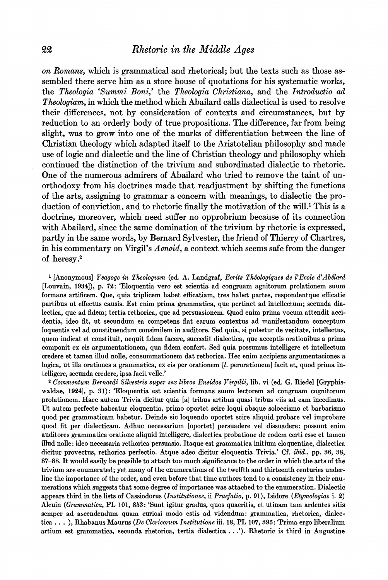**on Romans, which is grammatical and rhetorical; but the texts such as those assembled there serve him as a store house of quotations for his systematic works, the Theologia 'Summi Boni,' the Theologia Christiana, and the Introductio ad Theologiam, in which the method which Abailard calls dialectical is used to resolve their differences, not by consideration of contexts and circumstances, but by reduction to an orderly body of true propositions. The difference, far from being slight, was to grow into one of the marks of differentiation between the line of Christian theology which adapted itself to the Aristotelian philosophy and made use of logic and dialectic and the line of Christian theology and philosophy which continued the distinction of the trivium and subordinated dialectic to rhetoric. One of the numerous admirers of Abailard who tried to remove the taint of unorthodoxy from his doctrines made that readjustment by shifting the functions of the arts, assigning to grammar a concern with meanings, to dialectic the production of conviction, and to rhetoric finally the motivation of the will.' This is a doctrine, moreover, which need suffer no opprobrium because of its connection with Abailard, since the same domination of the trivium by rhetoric is expressed, partly in the same words, by Bernard Sylvester, the friend of Thierry of Chartres, in his commentary on Virgil's Aeneid, a context which seems safe from the danger of heresy.2** 

**1 [Anonymous] Ysagoge in Theologzam (ed. A. Landgraf, Ecrits Theologiques de l'Ecole d'Abelard [Louvain, 1934]), p. 72: 'Eloquentia vero est scientia ad congruam agnitorum prolationem suum formans artificem. Que, quia triplicem habet efficatiam, tres habet partes, respondentque efficatie partibus ut effectus causis. Est enim prima grammatica, que pertinet ad intellectum; secunda dialectica, que ad fidem; tertia rethorica, que ad persuasionem. Quod enim prima vocum attendit accidentia, ideo fit, ut secundum ea competens fiat earum contextus ad manifestandum conceptum loquentis vel ad constituendum consimilem in auditore. Sed quia, si pulsetur de veritate, intellectus, quem indicat et constituit, nequit fidem facere, succedit dialectica, que acceptis orationibus a prima componit ex eis argumentationem, qua fidem confert. Sed quia possumus intelligere et intellectum credere et tamen illud nolle, consummationem dat rethorica. Hec enim accipiens argumentaciones a logica, ut illa orationes a grammatica, ex eis per orationem [I. perorationem] facit et, quod prima intelligere, secunda credere, ipsa facit velle.'** 

**2 Commentum Bernardi Silvestris super sex libros Eneidos Virgilii, lib. vi (ed. G. Riedel [Gryphiswaldae, 1924], p. 31): 'Eloquentia est scientia formans suum lectorem ad congruam cognitorum prolationem. Haec autem Trivia dicitur quia [a] tribus artibus quasi tribus viis ad eam incedimus. Ut autem perfecte habeatur eloquentia, primo oportet scire loqui absque soloecismo et barbarismo quod per grammaticam habetur. Deinde sic loquendo oportet scire aliquid probare vel improbare quod fit per dialecticam. Adhuc necessarium [oportet] persuadere vel dissuadere: possunt enim auditores grammatica oratione aliquid intelligere, dialectica probatione de eodem certi esse et tamen illud nolle: ideo necessaria rethorica persuasio. Itaque est grammatica initium eloquentiae, dialectica dicitur provectus, rethorica perfectio. Atque adeo dicitur eloquentia Trivia.' Cf. ibid., pp. 36, 38, 87-88. It would easily be possible to attach too much significance to the order in which the arts of the trivium are enumerated; yet many of the enumerations of the twelfth and thirteenth centuries underline the importance of the order, and even before that time authors tend to a consistency in their enumerations which suggests that some degree of importance was attached to the enumeration. Dialectic appears third in the lists of Cassiodorus (Institutiones, ii Praefatio, p. 91), Isidore (Etymologiae i. 9) Alcuin (Grammatica, PL 101, 853: 'Sunt igitur gradus, quos quaeritis, et utinam tam ardentes sitis semper ad ascendendum quam curiosi modo estis ad videndum: grammatica, rhetorica, dialectica . . . ), Rhabanus Maurus (De Clericorum Institutione iii. 18, PL 107, 395: 'Prima ergo liberalium artium est grammatica, secunda rhetorica, tertia dialectica ...'). Rhetoric is third in Augustine**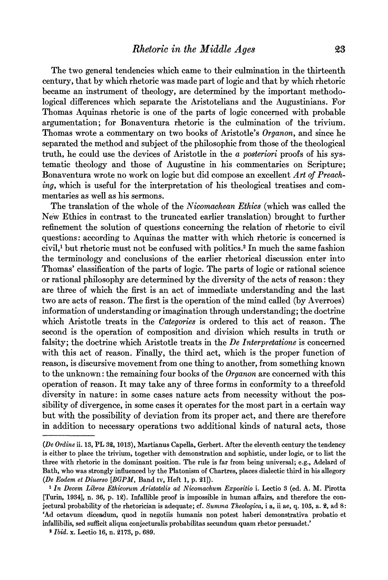**The two general tendencies which came to their culmination in the thirteenth century, that by which rhetoric was made part of logic and that by which rhetoric became an instrument of theology, are determined by the important methodological differences which separate the Aristotelians and the Augustinians. For Thomas Aquinas rhetoric is one of the parts of logic concerned with probable argumentation; for Bonaventura rhetoric is the culmination of the trivium. Thomas wrote a commentary on two books of Aristotle's Organon, and since he separated the method and subject of the philosophic from those of the theological truth, he could use the devices of Aristotle in the a posteriori proofs of his systematic theology and those of Augustine in his commentaries on Scripture; Bonaventura wrote no work on logic but did compose an excellent Art of Preaching, which is useful for the interpretation of his theological treatises and commentaries as well as his sermons.** 

**The translation of the whole of the Nicomachean Ethics (which was called the New Ethics in contrast to the truncated earlier translation) brought to further refinement the solution of questions concerning the relation of rhetoric to civil questions: according to Aquinas the matter with which rhetoric is concerned is civil,1 but rhetoric must not be confused with politics.2 In much the same fashion the terminology and conclusions of the earlier rhetorical discussion enter into Thomas' classification of the parts of logic. The parts of logic or rational science or rational philosophy are determined by the diversity of the acts of reason: they are three of which the first is an act of immediate understanding and the last two are acts of reason. The first is the operation of the mind called (by Averroes) information of understanding or imagination through understanding; the doctrine which Aristotle treats in the Categories is ordered to this act of reason. The second is the operation of composition and division which results in truth or falsity; the doctrine which Aristotle treats in the De Interpretatione is concerned**  with this act of reason. Finally, the third act, which is the proper function of **reason, is discursive movement from one thing to another, from something known to the unknown: the remaining four books of the Organon are concerned with this operation of reason. It may take any of three forms in conformity to a threefold diversity in nature: in some cases nature acts from necessity without the possibility of divergence, in some cases it operates for the most part in a certain way but with the possibility of deviation from its proper act, and there are therefore in addition to necessary operations two additional kinds of natural acts, those** 

**<sup>(</sup>De Ordine ii. 13, PL 32, 1013), Martianus Capella, Gerbert. After the eleventh century the tendency is either to place the trivium, together with demonstration and sophistic, under logic, or to list the three with rhetoric in the dominant position. The rule is far from being universal; e.g., Adelard of Bath, who was strongly influenced by the Platonism of Chartres, places dialectic third in his allegory (De Eodem et Diuerso [BGPM, Band Iv, Heft 1, p. 21]).** 

**<sup>1</sup> In Decem Libros Ethicorum Aristotelis ad Nicomachum Expositio i. Lectio 3 (ed. A. M. Pirotta [Turin, 1934], n. 36, p. 12). Infallible proof is impossible in human affairs, and therefore the conjectural probability of the rhetorician is adequate; cf. Summa Theologica, i a, ii ae, q. 105, a. 2, ad 8: 'Ad octavum dicendum, quod in negotiis humanis non potest haberi demonstrativa probatio et infallibilis, sed sufficit aliqua conjecturalis probabilitas secundum quam rhetor persuadet.'** 

**<sup>2</sup>Ibid. x. Lectio 16, n. 2173, p. 689.**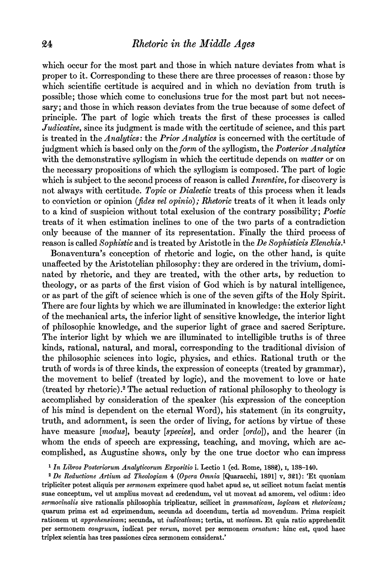**which occur for the most part and those in which nature deviates from what is proper to it. Corresponding to these there are three processes of reason: those by which scientific certitude is acquired and in which no deviation from truth is possible; those which come to conclusions true for the most part but not necessary; and those in which reason deviates from the true because of some defect of principle. The part of logic which treats the first of these processes is called Judicative, since its judgment is made with the certitude of science, and this part is treated in the Analytics: the Prior Analytics is concerned with the certitude of**  judgment which is based only on the form of the syllogism, the Posterior Analytics with the demonstrative syllogism in which the certitude depends on *matter* or on **the necessary propositions of which the syllogism is composed. The part of logic**  which is subject to the second process of reason is called *Inventive*, for discovery is **not always with certitude. Topic or Dialectic treats of this process when it leads to conviction or opinion (fides vel opinio); Rhetoric treats of it when it leads only to a kind of suspicion without total exclusion of the contrary possibility; Poetic treats of it when estimation inclines to one of the two parts of a contradiction only because of the manner of its representation. Finally the third process of reason is called Sophistic and is treated by Aristotle in the De Sophisticis Elenchis.1** 

**Bonaventura's conception of rhetoric and logic, on the other hand, is quite unaffected by the Aristotelian philosophy: they are ordered in the trivium, dominated by rhetoric, and they are treated, with the other arts, by reduction to theology, or as parts of the first vision of God which is by natural intelligence, or as part of the gift of science which is one of the seven gifts of the Holy Spirit. There are four lights by which we are illuminated in knowledge: the exterior light of the mechanical arts, the inferior light of sensitive knowledge, the interior light of philosophic knowledge, and the superior light of grace and sacred Scripture. The interior light by which we are illuminated to intelligible truths is of three kinds, rational, natural, and moral, corresponding to the traditional division of the philosophic sciences into logic, physics, and ethics. Rational truth or the truth of words is of three kinds, the expression of concepts (treated by grammar), the movement to belief (treated by logic), and the movement to love or hate (treated by rhetoric).2 The actual reduction of rational philosophy to theology is accomplished by consideration of the speaker (his expression of the conception of his mind is dependent on the eternal Word), his statement (in its congruity, truth, and adornment, is seen the order of living, for actions by virtue of these**  have measure [modus], beauty [species], and order [ordo]), and the hearer (in **whom the ends of speech are expressing, teaching, and moving, which are accomplished, as Augustine shows, only by the one true doctor who can impress** 

**1 In Libros Posteriorum Analyticorum Expositio i. Lectio 1 (ed. Rome, 1882), I, 138-140.** 

**<sup>2</sup>De Reductione Artium ad Theologiam 4 (Opera Omnia [Quaracchi, 1891] v, 321): 'Et quoniam tripliciter potest aliquis per sermonem exprimere quod habet apud se, ut scilicet notum faciat mentis suae conceptum, vel ut amplius moveat ad credendum, vel ut moveat ad amorem, vel odium: ideo sermocinalis sive rationalis philosophia triplicatur, scilicet in grammaticam, logicam et rhetoricam; quarum prima est ad exprimendum, secunda ad docendum, tertia ad movendum. Prima respicit rationem ut apprehensivam; secunda, ut iudicativam; tertia, ut motivam. Et quia ratio apprehendit per sermonem congruum, iudicat per verum, movet per sermonem ornatum: hinc est, quod haec triplex scientia has tres passiones circa sermonem considerat.'**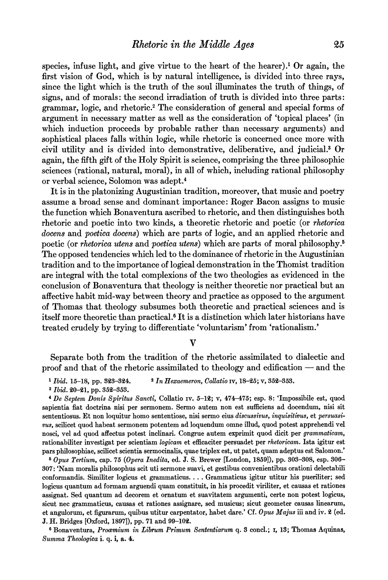**species, infuse light, and give virtue to the heart of the hearer).' Or again, the first vision of God, which is by natural intelligence, is divided into three rays, since the light which is the truth of the soul illuminates the truth of things, of signs, and of morals: the second irradiation of truth is divided into three parts: grammar, logic, and rhetoric.2 The consideration of general and special forms of argument in necessary matter as well as the consideration of 'topical places' (in which induction proceeds by probable rather than necessary arguments) and sophistical places falls within logic, while rhetoric is concerned once more with civil utility and is divided into demonstrative, deliberative, and judicial.3 Or again, the fifth gift of the Holy Spirit is science, comprising the three philosophic sciences (rational, natural, moral), in all of which, including rational philosophy or verbal science, Solomon was adept.4** 

**It is in the platonizing Augustinian tradition, moreover, that music and poetry assume a broad sense and dominant importance: Roger Bacon assigns to music the function which Bonaventura ascribed to rhetoric, and then distinguishes both rhetoric and poetic into two kinds, a theoretic rhetoric and poetic (or rhetorica docens and poetica docens) which are parts of logic, and an applied rhetoric and poetic (or rhetorica utens and poetica utens) which are parts of moral philosophy.' The opposed tendencies which led to the dominance of rhetoric in the Augustinian tradition and to the importance of logical demonstration in the Thomist tradition are integral with the total complexions of the two theologies as evidenced in the conclusion of Bonaventura that theology is neither theoretic nor practical but an affective habit mid-way between theory and practice as opposed to the argument of Thomas that theology subsumes both theoretic and practical sciences and is itself more theoretic than practical.6 It is a distinction which later historians have treated crudely by trying to differentiate 'voluntarism' from 'rationalism.'** 

#### **V**

**Separate both from the tradition of the rhetoric assimilated to dialectic and**  proof and that of the rhetoric assimilated to theology and edification - and the

**1 Ibid. 15-18, pp. 323-324. 2 In Hexaemeron, Collatio iv, 18-25; v, 352-353.** 

**3 Ibid. 20-21, pp. 352-353.** 

**<sup>4</sup>De Septem Donis Spiritus Sancti, Collatio iv. 5-12; v, 474-475; esp. 8: 'Impossibile est, quod sapientia fiat doctrina nisi per sermonem. Sermo autem non est sufficiens ad docendum, nisi sit sententiosus. Et non loquitur homo sententiose, nisi sermo eius discussivus, inquisitivus, et persuasivus, scilicet quod habeat sermonem potentem ad loquendum omne illud, quod potest apprehendi vel nosci, vel ad quod affectus potest inclinari. Congrue autem exprimit quod dicit per grammaticam, rationabiliter investigat per scientiam logicam et efficaciter persuadet per rhetoricam. Ista igitur est pars philosophiae, scilicet scientia sermocinalis, quae triplex est, ut patet, quam adeptus est Salomon.'** 

**6 Opus Tertium, cap. 75 (Opera Inedita, ed. J. S. Brewer [London, 1859]), pp. 303-308, esp. 306- 307: 'Nam moralis philosophus scit uti sermone suavi, et gestibus convenientibus orationi delectabili conformandis. Similiter logicus et grammaticus.... Grammaticus igitur utitur his pueriliter; sed logicus quantum ad formam arguendi quam constituit, in his procedit viriliter, et causas et rationes assignat. Sed quantum ad decorem et ornatum et suavitatem argumenti, certe non potest logicus, sicut nec grammaticus, causas et rationes assignare, sed musicus; sicut geometer causas linearum, et angulorum, et figurarum, quibus utitur carpentator, habet dare.' Cf. Opus Majus iii and iv. 2 (ed. J. H. Bridges [Oxford, 1897]), pp. 71 and 99-102.** 

**6 Bonaventura, Proemium in Librum Primum Sententiarum q. 3 concl.; I, 13; Thomas Aquinas, Summa Theologica i. q. i, a. 4.**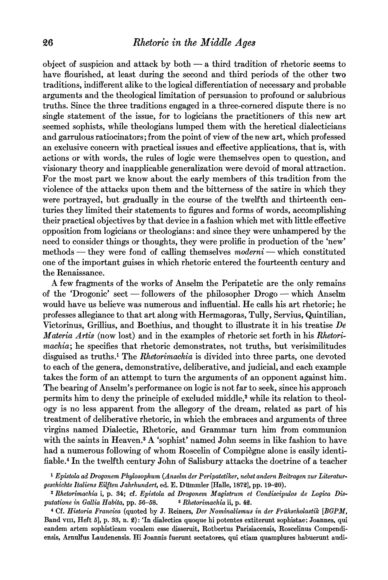**object of suspicion and attack by both - a third tradition of rhetoric seems to have flourished, at least during the second and third periods of the other two traditions, indifferent alike to the logical differentiation of necessary and probable arguments and the theological limitation of persuasion to profound or salubrious truths. Since the three traditions engaged in a three-cornered dispute there is no single statement of the issue, for to logicians the practitioners of this new art seemed sophists, while theologians lumped them with the heretical dialecticians and garrulous ratiocinators; from the point of view of the new art, which professed an exclusive concern with practical issues and effective applications, that is, with actions or with words, the rules of logic were themselves open to question, and visionary theory and inapplicable generalization were devoid of moral attraction. For the most part we know about the early members of this tradition from the violence of the attacks upon them and the bitterness of the satire in which they were portrayed, but gradually in the course of the twelfth and thirteenth centuries they limited their statements to figures and forms of words, accomplishing their practical objectives by that device in a fashion which met with little effective opposition from logicians or theologians: and since they were unhampered by the need to consider things or thoughts, they were prolific in production of the 'new'**  methods - they were fond of calling themselves *moderni* - which constituted **one of the important guises in which rhetoric entered the fourteenth century and the Renaissance.** 

**A few fragments of the works of Anselm the Peripatetic are the only remains of the 'Drogonic' sect - followers of the philosopher Drogo - which Anselm would have us believe was numerous and influential. He calls his art rhetoric; he professes allegiance to that art along with Hermagoras, Tully, Servius, Quintilian, Victorinus, Grillius, and Boethius, and thought to illustrate it in his treatise De Materia Artis (now lost) and in the examples of rhetoric set forth in his Rhetorimachia; he specifies that rhetoric demonstrates, not truths, but verisimilitudes disguised as truths.' The Rhetorimachia is divided into three parts, one devoted to each of the genera, demonstrative, deliberative, and judicial, and each example takes the form of an attempt to turn the arguments of an opponent against him. The bearing of Anselm's performance on logic is not far to seek, since his approach**  permits him to deny the principle of excluded middle,<sup>2</sup> while its relation to theol**ogy is no less apparent from the allegory of the dream, related as part of his treatment of deliberative rhetoric, in which the embraces and arguments of three virgins named Dialectic, Rhetoric, and Grammar turn him from communion with the saints in Heaven.3 A 'sophist' named John seems in like fashion to have**  had a numerous following of whom Roscelin of Compiègne alone is easily identi**fiable.4 In the twelfth century John of Salisbury attacks the doctrine of a teacher** 

**<sup>1</sup> Epistola ad Drogonem Phylosophum (Anselm der Peripatetiker, nebst andern Beitragen zur Literaturgeschichte Italiens Eilften Jahrhundert, ed. E. Diimmler [Halle, 1872], pp. 19-20).** 

**<sup>2</sup> Rhetorimachia i, p. 34; cf. Epistola ad Drogonem Magistrum et Condiscipulos de Logica Dis**putatione in Gallia Habita, pp. 56-58.

**<sup>4</sup>Cf. Historia Francica (quoted by J. Reiners, Der Nominalismus in der Friihscholastik [BGPM, Band viII, Heft 5], p. 33, n. 9): 'In dialectica quoque hi potentes extiterunt sophistae: Joannes, qui eandem artem sophisticam vocalem esse disseruit, Rotbertus Parisiacensis, Roscelinus Compendiensis, Arnulfus Laudenensis. Hi Joannis fuerunt sectatores, qui etiam quamplures habuerunt audi-**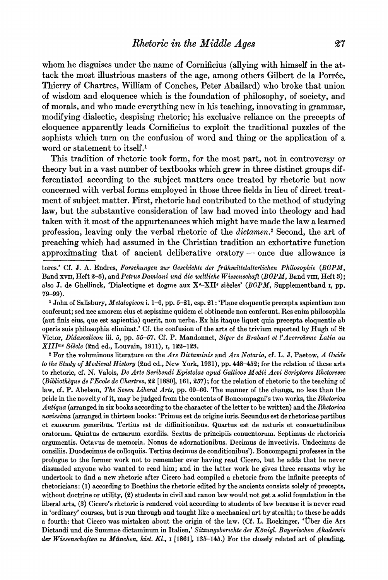**whom he disguises under the name of Cornificius (allying with himself in the attack the most illustrious masters of the age, among others Gilbert de la Porree, Thierry of Chartres, William of Conches, Peter Abailard) who broke that union of wisdom and eloquence which is the foundation of philosophy, of society, and of morals, and who made everything new in his teaching, innovating in grammar, modifying dialectic, despising rhetoric; his exclusive reliance on the precepts of eloquence apparently leads Cornificius to exploit the traditional puzzles of the sophists which turn on the confusion of word and thing or the application of a word or statement to itself.'** 

**This tradition of rhetoric took form, for the most part, not in controversy or theory but in a vast number of textbooks which grew in three distinct groups differentiated according to the subject matters once treated by rhetoric but now concerned with verbal forms employed in those three fields in lieu of direct treatment of subject matter. First, rhetoric had contributed to the method of studying law, but the substantive consideration of law had moved into theology and had taken with it most of the appurtenances which might have made the law a learned profession, leaving only the verbal rhetoric of the dictamen.2 Second, the art of preaching which had assumed in the Christian tradition an exhortative function approximating that of ancient deliberative oratory - once due allowance is** 

**tores.' Cf. J. A. Endres, Forschungen zur Geschichte der friihmittelalterlichen Philosophie (BGPM,**  Band xvII, Heft 2-3), and *Petrus Damiani und die weltliche Wissenschaft (BGPM*, Band vIII, Heft 3); also J. de Ghellinck, 'Dialectique et dogme aux X<sup>e</sup>-XII<sup>e</sup> siècles' (BGPM, Supplementband I, pp. **79-99).** 

**1 John of Salisbury, Metalogicon i. 1-6, pp. 5-Q1, esp. 21: 'Plane eloquentie precepta sapientiam non conferunt; sed nec amorem eius et sepissime quidem ei obtinende non conferunt. Res enim philosophia (aut finis eius, que est sapientia) querit, non uerba. Ex his itaque liquet quia precepta eloquentie ab operis suis philosophia eliminat.' Cf. the confusion of the arts of the trivium reported by Hugh of St Victor, Didascalicon iii. 5, pp. 55-57. Cf. P. Mandonnet, Siger de Brabant et l'Averro'sme Latin au XIIIme Siecle (2nd ed., Louvain, 1911), I, 122-123.** 

**<sup>2</sup>For the voluminous literature on the Ars Dictaminis and Ars Notaria, cf. L. J. Paetow, A Guide to the Study of Medieval History (2nd ed., New York, 1931), pp. 448-452; for the relation of these arts to rhetoric, cf. N. Valois, De Arte Scribendi Epistolas apud Gallicos Medii Aevi Scriptores Rhetoresve (Bibliotheque de l'Ecole de Chartres, 22 [1880], 161, 257); for the relation of rhetoric to the teaching of law, cf. P. Abelson, The Seven Liberal Arts, pp. 60-66. The manner of the change, no less than the pride in the novelty of it, may be judged from the contents of Boncompagni's two works, the Rhetorica Antiqua (arranged in six books according to the character of the letter to be written) and the Rhetorica novissima (arranged in thirteen books: 'Primus est de origine iuris. Secundus est de rhetoricae partibus et causarum generibus. Tertius est de diffinitionibus. Quartus est de naturis et consuetudinibus oratorum. Quintus de causarum exordiis. Sextus de principiis conuentorum. Septimus de rhetoricis argumentis. Octavus de memoria. Nonus de adornationibus. Decimus de invectivis. Undecimus de consiliis. Duodecimus de colloquiis. Tertius decimus de conditionibus'). Boncompagni professes in the prologue to the former work not to remember ever having read Cicero, but he adds that he never dissuaded anyone who wanted to read him; and in the latter work he gives three reasons why he undertook to find a new rhetoric after Cicero had compiled a rhetoric from the infinite precepts of rhetoricians: (1) according to Boethius the rhetoric edited by the ancients consists solely of precepts,**  without doctrine or utility, (2) students in civil and canon law would not get a solid foundation in the **liberal arts, (3) Cicero's rhetoric is rendered void according to students of law because it is never read in 'ordinary' courses, but is run through and taught like a mechanical art by stealth; to these he adds a fourth: that Cicero was mistaken about the origin of the law. (Cf. L. Rockinger, 'Uber die Ars Dictandi und die Summae dictaminum in Italien,' Sitzungsberchte der Konigl. Bayerischen Akademie der Wissenschaften zu Miinchen, hist. Kl., I [1861], 135-145.) For the closely related art of pleading,**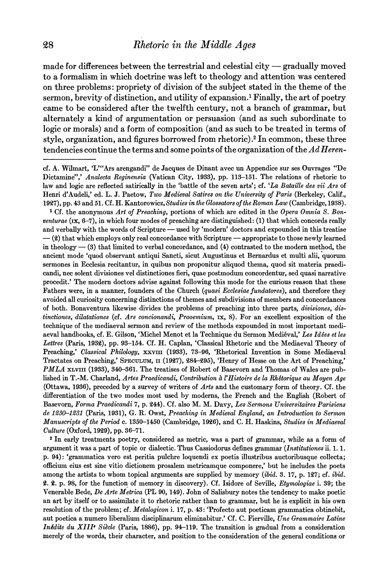**made for differences between the terrestrial and celestial city - gradually moved to a formalism in which doctrine was left to theology and attention was centered on three problems: propriety of division of the subject stated in the theme of the sermon, brevity of distinction, and utility of expansion.1 Finally, the art of poetry came to be considered after the twelfth century, not a branch of grammar, but alternately a kind of argumentation or persuasion (and as such subordinate to logic or morals) and a form of composition (and as such to be treated in terms of style, organization, and figures borrowed from rhetoric).2 In common, these three tendencies continue the terms and some points of the organization of the Ad Heren-**

**1 Cf. the anonymous Art of Preaching, portions of which are edited in the Opera Omnia S. Bonventurae (ix, 6-7), in which four modes of preaching are distinguished: (1) that which concords really**  and verbally with the words of Scripture — used by 'modern' doctors and expounded in this treatise  $-$  (2) that which employs only real concordance with Scripture - appropriate to those newly learned in theology  $-$  (3) that limited to verbal concordance, and (4) contrasted to the modern method, the **ancient mode 'quod observant antiqui Sancti, sicut Augustinus et Bernardus et multi alii, quorum sermones in Ecclesia recitantur, in quibus non proponitur aliquod thema, quod sit materia praedicandi, nec solent divisiones vel distinctiones fieri, quae postmodum concordentur, sed quasi narrative procedit.' The modern doctors advise against following this mode for the curious reason that these Fathers were, in a manner, founders of the Church (quasi Ecclesiae fundatores), and therefore they avoided all curiosity concerning distinctions of themes and subdivisions of members and concordances of both. Bonaventura likewise divides the problems of preaching into three parts, divisiones, distinctiones, dilatationes (cf. Ars concionandi, Prooemium, ix, 8). For an excellent exposition of the technique of the mediaeval sermon and review of the methods expounded in most important mediaeval handbooks, cf. E. Gilson, 'Michel Menot et la Technique du Sermon Medieval,' Les Idees et les**  Lettres (Paris, 1932), pp. 93-154. Cf. H. Caplan, 'Classical Rhetoric and the Mediaeval Theory of Preaching,' Classical Philology, XXVIII (1933), 73-96, 'Rhetorical Invention in Some Mediaeval **Tractates on Preaching,' SPECULUM, II (1927), 284-295), 'Henry of Hesse on the Art of Preaching,' PMLA XLVIII (1933), 340-361. The treatises of Robert of Basevorn and Thomas of Wales are published in T.-M. Charland, Artes Praedicandi, Contribution a l'Histoire de la Rhetorique au Moyen Age (Ottawa, 1936), preceded by a survey of writers of Arts and the customary form of theory. Cf. the differentiation of the two modes most used by moderns, the French and the English (Robert of Basevorn, Forma Praedicandi 7, p. 244). Cf. also M. M. Davy, Les Sermons Universitaires Parisiens de 1230-1231 (Paris, 1931), G. R. Owst, Preaching in Medieval England, an Introduction to Sermon Manuscripts of the Period c. 1350-1450 (Cambridge, 1926), and C. H. Haskins, Studies in Mediaeval Culture (Oxford, 1929), pp. 36-71.** 

<sup>2</sup> In early treatments poetry, considered as metric, was a part of grammar, while as a form of **argument it was a part of topic or dialectic. Thus Cassiodorus defines grammar (Institutiones ii. 1. 1. p. 94): 'grammatica vero est peritia pulchre loquendi ex poetis illustribus auctoribusque collecta; officium eius est sine vitio dictionem prosalem metricamque componere,' but he includes the poets among the artists to whom topical arguments are supplied by memory (ibid. 3. 17, p. 127; cf. ibid. P. 2. p. 98, for the function of memory in discovery). Cf. Isidore of Seville, Etymologiae i. 39; the Venerable Bede, De Arte Metrica (PL 90, 149). John of Salisbury notes the tendency to make poetic an art by itself or to assimilate it to rhetoric rather than to grammar, but he is explicit in his own resolution of the problem; cf. Metalogicon i. 17, p. 43: 'Profecto aut poeticam grammatica obtinebit, aut poetica a numero liberalium disciplinarum eliminabitur.' Cf. C. Fierville, Une Grammaire Latine**  Inédite du XIII<sup></sup> Siècle (Paris, 1886), pp. 94-119. The transition is gradual from a consideration **merely of the words, their character, and position to the consideration of the general conditions or** 

**cf. A. Wilmart, 'L"'Ars arengandi" de Jacques de Dinant avec un Appendice sur ses Ouvrages "De Dictamine",' Analecta Reginensia (Vatican City, 1933), pp. 113-151. The relations of rhetoric to law and logic are reflected satirically in the 'battle of the seven arts'; cf. 'La Bataille des vii Ars of Henri d'Audeli,' ed. L. J. Paetow, Two Medieval Satires on the University of Paris (Berkeley, Calif., 1927), pp. 43 and 51. Cf. H. Kantorowicz, Studies in the Glossators of the Roman Law (Cambridge, 1938).**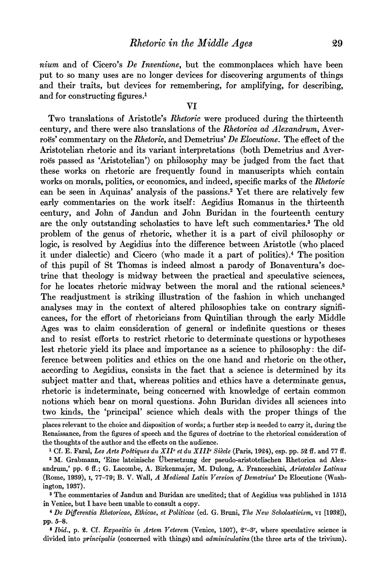**nium and of Cicero's De Inventione, but the commonplaces which have been put to so many uses are no longer devices for discovering arguments of things and their traits, but devices for remembering, for amplifying, for describing, and for constructing figures.'** 

## **VI**

**Two translations of Aristotle's Rhetoric were produced during the thirteenth century, and there were also translations of the Rhetorica ad Alexandrum, Aver**roes' commentary on the Rhetoric, and Demetrius' De Elocutione. The effect of the **Aristotelian rhetoric and its variant interpretations (both Demetrius and Aver**roes passed as 'Aristotelian') on philosophy may be judged from the fact that **these works on rhetoric are frequently found in manuscripts which contain works on morals, politics, or economics, and indeed, specific marks of the Rhetoric can be seen in Aquinas' analysis of the passions.2 Yet there are relatively few early commentaries on the work itself: Aegidius Romanus in the thirteenth century, and John of Jandun and John Buridan in the fourteenth century are the only outstanding scholastics to have left such commentaries.3 The old problem of the genus of rhetoric, whether it is a part of civil philosophy or logic, is resolved by Aegidius into the difference between Aristotle (who placed it under dialectic) and Cicero (who made it a part of politics).4 The position of this pupil of St Thomas is indeed almost a parody of Bonaventura's doctrine that theology is midway between the practical and speculative sciences, for he locates rhetoric midway between the moral and the rational sciences.6 The readjustment is striking illustration of the fashion in which unchanged analyses may in the context of altered philosophies take on contrary significances, for the effort of rhetoricians from Quintilian through the early Middle Ages was to claim consideration of general or indefinite questions or theses and to resist efforts to restrict rhetoric to determinate questions or hypotheses lest rhetoric yield its place and importance as a science to philosophy: the difference between politics and ethics on the one hand and rhetoric on the other, according to Aegidius, consists in the fact that a science is determined by its subject matter and that, whereas politics and ethics have a determinate genus, rhetoric is indeterminate, being concerned with knowledge of certain common notions which bear on moral questions. John Buridan divides all sciences into two kinds, the 'principal' science which deals with the proper things of the** 

**places relevant to the choice and disposition of words; a further step is needed to carry it, during the Renaissance, from the figures of speech and the figures of doctrine to the rhetorical consideration of the thoughts of the author and the effects on the audience.** 

<sup>1</sup> Cf. E. Faral, Les Arts Poétiques du XII<sup>e</sup> et du XIII<sup>e</sup> Siècle (Paris, 1924), esp. pp. 52 ff. and 77 ff.

<sup>2</sup> M. Grabmann, 'Eine lateinische Übersetzung der pseudo-aristotelischen Rhetorica ad Alex**andrum,' pp. 6 if.; G. Lacombe, A. Birkenmajer, M. Dulong, A. Franceschini, Aristoteles Latinus (Rome, 1939), I, 77-79; B. V. Wall, A Medieval Latin Version of Demetrius' De Elocutione (Washington, 1937).** 

**<sup>3</sup>The commentaries of Jandun and Buridan are unedited; that of Aegidius was published in 1515 in Venice, but I have been unable to consult a copy.** 

**<sup>4</sup>De Differentia Rhetoricae, Ethicae, et Politicae (ed. G. Bruni, The New Scholasticism, vi [1932]), pp. 5-8.** 

**6 Ibid., p. 2. Cf. Expositio in Artem Veterem (Venice, 1507), 2v-3r, where speculative science is divided into principalis (concerned with things) and adminiculativa (the three arts of the trivium).**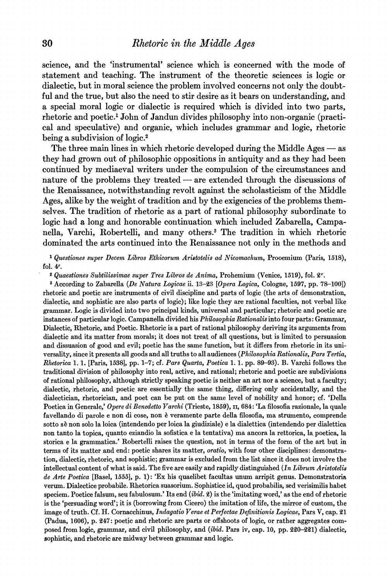**science, and the 'instrumental' science which is concerned with the mode of statement and teaching. The instrument of the theoretic sciences is logic or dialectic, but in moral science the problem involved concerns not only the doubtful and the true, but also the need to stir desire as it bears on understanding, and a special moral logic or dialectic is required which is divided into two parts,**  rhetoric and poetic.<sup>1</sup> John of Jandun divides philosophy into non-organic (practi**cal and speculative) and organic, which includes grammar and logic, rhetoric being a subdivision of logic.2** 

The three main lines in which rhetoric developed during the Middle Ages — as **they had grown out of philosophic oppositions in antiquity and as they had been continued by mediaeval writers under the compulsion of the circumstances and nature of the problems they treated - are extended through the discussions of the Renaissance, notwithstanding revolt against the scholasticism of the Middle Ages, alike by the weight of tradition and by the exigencies of the problems themselves. The tradition of rhetoric as a part of rational philosophy subordinate to logic had a long and honorable continuation which included Zabarella, Campanella, Varchi, Robertelli, and many others.3 The tradition in which rhetoric dominated the arts continued into the Renaissance not only in the methods and** 

**1 Questiones super Decem Libros Ethicorum Aristotelis ad Nicomachum, Prooemium (Paris, 1518), fol. 4r.** 

<sup>2</sup> Quaestiones Subtilissimae super Tres Libros de Anima, Prohemium (Venice, 1519), fol. 2<sup>v</sup>.

**<sup>3</sup>According to Zabarella (De Natura Logicae ii. 13-23 [Opera Logica, Cologne, 1597, pp. 78-100]) rhetoric and poetic are instruments of civil discipline and parts of logic (the arts of demonstration, dialectic, and sophistic are also parts of logic); like logic they are rational faculties, not verbal like grammar. Logic is divided into two principal kinds, universal and particular; rhetoric and poetic are instances of particular logic. Campanella divided his Philosophia Rationalis into four parts: Grammar, Dialectic, Rhetoric, and Poetic. Rhetoric is a part of rational philosophy deriving its arguments from dialectic and its matter from morals; it does not treat of all questions, but is limited to persuasion and dissuasion of good and evil; poetic has the same function, but it differs from rhetoric in its universality, since it presents all goods and all truths to all audiences (Philosophia Rationalis, Pars Tertia, Rhetorica 1.1. [Paris, 1538], pp. 1-7; cf. Pars Quarta, Poetica 1.1. pp. 89-93). B. Varchi follows the traditional division of philosophy into real, active, and rational; rhetoric and poetic are subdivisions of rational philosophy, although strictly speaking poetic is neither an art nor a science, but a faculty; dialectic, rhetoric, and poetic are essentially the same thing, differing only accidentally, and the dialectician, rhetorician, and poet can be put on the same level of nobility and honor; cf. 'Della Poetica in Generale,' Opere di Benedetto Yarchi (Trieste, 1859), II, 684: 'La filosofia razionale, la quale favellando di parole e non di cose, non e veramente parte della filosofia, ma strumento, comprende sotto se non solo la loica (intendendo per loica la giudiziale) e la dialettica (intendendo per dialettica non tanto la topica, quanto eziandio la sofistica e la tentativa) ma ancora la rettorica, la, poetica, la storica e la grammatica.' Robertelli raises the question, not in terms of the form of the art but in terms of its matter and end: poetic shares its matter, oratio, with four other disciplines: demonstration, dialectic, rhetoric, and sophistic; grammar is excluded from the list since it does not involve the intellectual content of what is said. The five are easily and rapidly distinguished (In Librum Aristotelis de Arte Poetica [Basel, 1555], p. 1): 'Ex his quaelibet facultas unum arripit genus. Demonstratoria verum. Dialectice probabile. Rhetorica suasorium. Sophistice id, quod probabilis, sed verisimilis habet speciem. Poetice falsum, seu fabulosum.' Its end (ibid. 2) is the 'imitating word,' as the end of rhetoric is the 'persuading word'; it is (borrowing from Cicero) the imitation of life, the mirror of custom, the image of truth. Cf. H. Cornacchinus, Indagatio Yerae et Perfectae Definitionis Logicae, Pars V, cap. 21 (Padua, 1606), p. 247: poetic and rhetoric are parts or offshoots of logic, or rather aggregates composed from logic, grammar, and civil philosophy, and (ibid. Pars iv, cap. 10, pp. 220-221) dialectic, sophistic, and rhetoric are midway between grammar and logic.**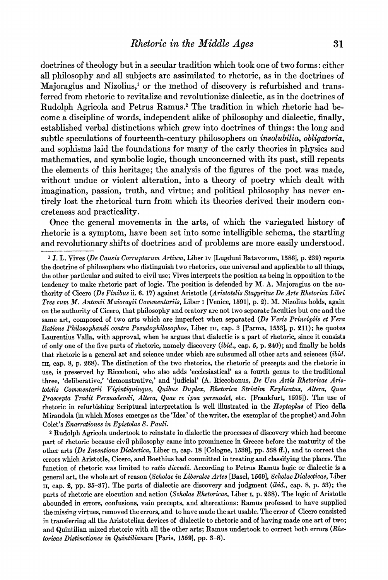**doctrines of theology but in a secular tradition which took one of two forms: either all philosophy and all subjects are assimilated to rhetoric, as in the doctrines of**  Majoragius and Nizolius,<sup>1</sup> or the method of discovery is refurbished and trans**ferred from rhetoric to revitalize and revolutionize dialectic, as in the doctrines of Rudolph Agricola and Petrus Ramus.2 The tradition in which rhetoric had become a discipline of words, independent alike of philosophy and dialectic, finally, established verbal distinctions which grew into doctrines of things: the long and subtle speculations of fourteenth-century philosophers on insolubilia, obligatoria, and sophisms laid the foundations for many of the early theories in physics and mathematics, and symbolic logic, though unconcerned with its past, still repeats the elements of this heritage; the analysis of the figures of the poet was made, without undue or violent alteration, into a theory of poetry which dealt with imagination, passion, truth, and virtue; and political philosophy has never entirely lost the rhetorical turn from which its theories derived their modern concreteness and practicality.** 

**Once the general movements in the arts, of which the variegated history of rhetoric is a symptom, have been set into some intelligible schema, the startling and revolutionary shifts of doctrines and of problems are more easily understood.** 

**<sup>2</sup>Rudolph Agricola undertook to reinstate in dialectic the processes of discovery which had become part of rhetoric because civil philosophy came into prominence in Greece before the maturity of the other arts (De Inventione Dialectica, Liber II, cap. 18 [Cologne, 1588], pp. 538 ff.), and to correct the errors which Aristotle, Cicero, and Boethius had committed in treating and classifying the places. The function of rhetoric was limited to ratio dicendi. According to Petrus Ramus logic or dialectic is a general art, the whole art of reason (Scholae in Liberales Artes [Basel, 1569], Scholae Dialecticae, Liber**  II, cap. 2, pp. 35-37). The parts of dialectic are discovery and judgment (*ibid.*, cap. 8, p. 53); the **parts of rhetoric are elocution and action (Scholae Rhetoricae, Liber I, p. Q38). The logic of Aristotle abounded in errors, confusions, vain precepts, and altercations: Ramus professed to have supplied the missing virtues, removed the errors, and to have made the art usable. The error of Cicero consisted in transferring all the Aristotelian devices of dialectic to rhetoric and of having made one art of two;**  and Quintilian mixed rhetoric with all the other arts; Ramus undertook to correct both errors (Rhe**toricae Distinctiones in Quintilianum [Paris, 1559], pp. 3-8).** 

**<sup>1</sup> J. L. Vives (De Causis Corruptarum Artium, Liber iv [Lugduni Batavorum, 1586], p. 239) reports the doctrine of philosophers who distinguish two rhetorics, one universal and applicable to all things, the other particular and suited to civil use; Vives interprets the position as being in opposition to the tendency to make rhetoric part of logic. The position is defended by M. A. Majoragius on the authority of Cicero (De Finibus ii. 6. 17) against Aristotle (Aristotelis Stagyritae De Arte Rhetorica Libri Tres cum M. Antonii Maioragii Commentariis, Liber I [Venice, 1591], p. 2). M. Nizolius holds, again on the authority of Cicero, that philosophy and oratory are not two separate faculties but one and the same art, composed of two arts which are imperfect when separated (De Yeris Principiis et Vera Ratione Philosophandi contra Pseudophilosophos, Liber II, cap. 3 [Parma, 1553], p. 911); he quotes Laurentius Valla, with approval, when he argues that dialectic is a part of rhetoric, since it consists of only one of the five parts of rhetoric, namely discovery (ibid., cap. 5, p. 240); and finally he holds that rhetoric is a general art and science under which are subsumed all other arts and sciences (ibid. III, cap. 8, p. 268). The distinction of the two rhetorics, the rhetoric of precepts and the rhetoric in use, is preserved by Riccoboni, who also adds 'ecclesiastical' as a fourth genus to the traditional three, 'deliberative,' 'demonstrative,' and 'judicial' (A. Riccobonus, De Usu Artis Rhetoricae Aristotelis Commentarii Vigintiquinque, Quibus Duplex, Rhetorica Strictim Explicatus, Altera, Quae Praecepta Tradit Persuadendi, Altera, Quae re ipsa persuadet, etc. [Frankfurt, 1595]). The use of rhetoric in refurbishing Scriptural interpretation is well illustrated in the Heptaplus of Pico della Mirandola (in which Moses emerges as the 'Idea' of the writer, the exemplar of the prophet) and John Colet's Enarrationes in Epistolas S. Pauli.**